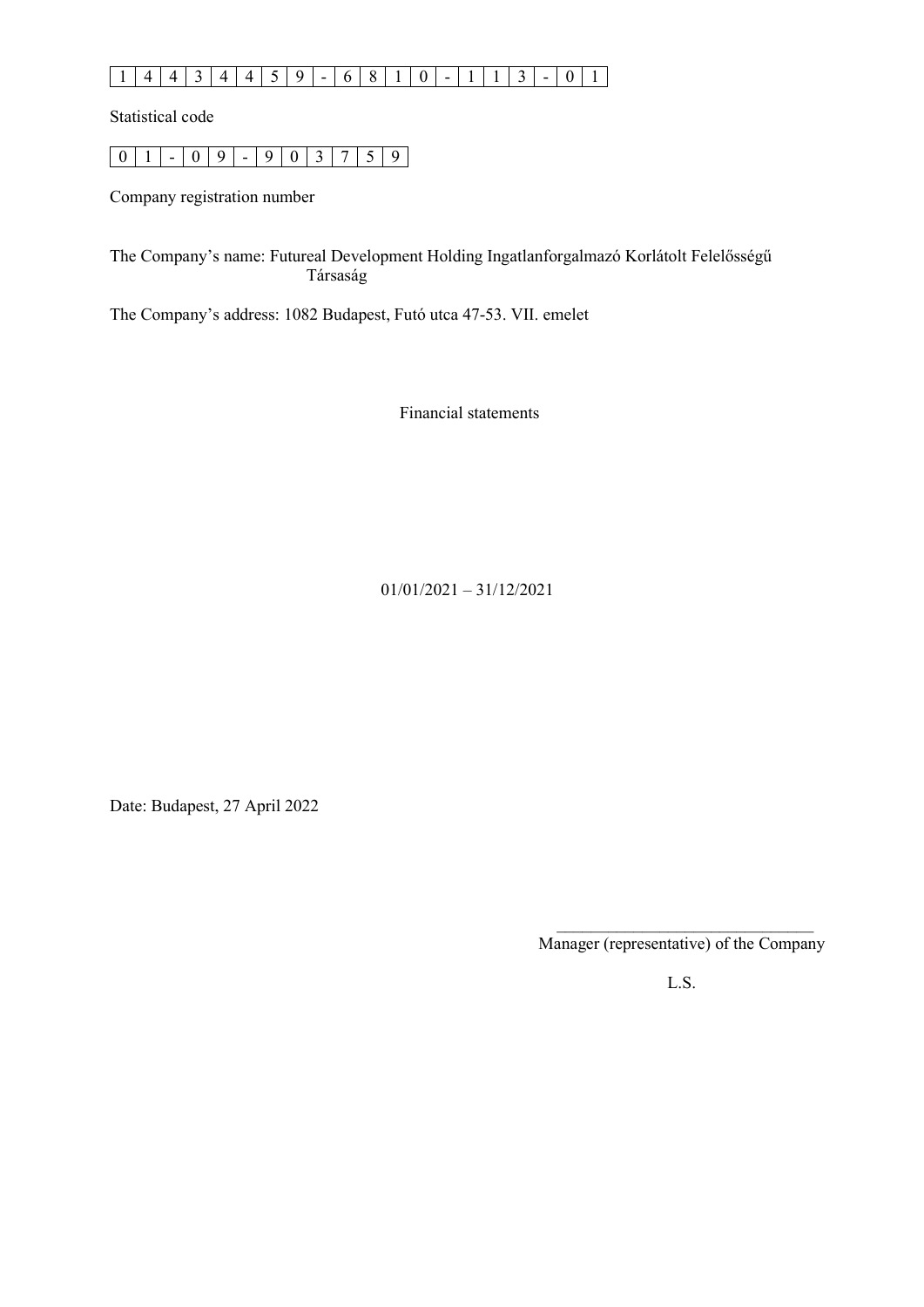# 1 4 4 3 4 4 5 9 - 6 8 1 0 - 1 1 3 - 0 1

Statistical code

|  |  |  |  |  | $1 - 09 - 903759$ |
|--|--|--|--|--|-------------------|

Company registration number

The Company's name: Futureal Development Holding Ingatlanforgalmazó Korlátolt Felelősségű Társaság

The Company's address: 1082 Budapest, Futó utca 47-53. VII. emelet

Financial statements

01/01/2021 – 31/12/2021

Date: Budapest, 27 April 2022

Manager (representative) of the Company

L.S.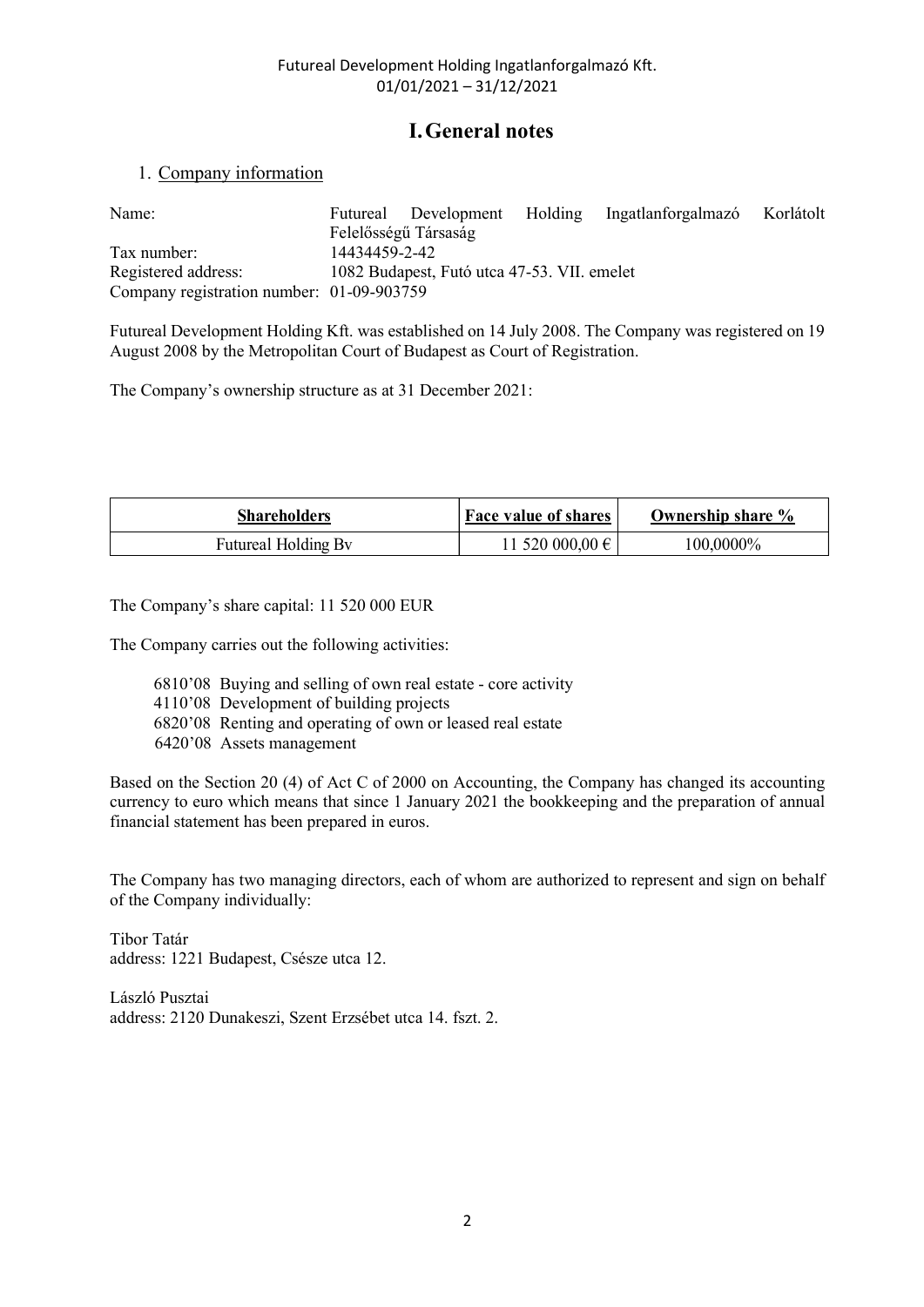## I.General notes

## 1. Company information

| Name:                                                                                                                                                                              | Futureal      | Development<br>Felelősségű Társaság         | Holding              | Ingatlanforgalmazó | Korlátolt |
|------------------------------------------------------------------------------------------------------------------------------------------------------------------------------------|---------------|---------------------------------------------|----------------------|--------------------|-----------|
| Tax number:                                                                                                                                                                        | 14434459-2-42 |                                             |                      |                    |           |
| Registered address:<br>Company registration number: 01-09-903759                                                                                                                   |               | 1082 Budapest, Futó utca 47-53. VII. emelet |                      |                    |           |
| Futureal Development Holding Kft. was established on 14 July 2008. The Company was registered on 19<br>August 2008 by the Metropolitan Court of Budapest as Court of Registration. |               |                                             |                      |                    |           |
|                                                                                                                                                                                    |               |                                             |                      |                    |           |
|                                                                                                                                                                                    |               |                                             |                      |                    |           |
| The Company's ownership structure as at 31 December 2021:                                                                                                                          |               |                                             |                      |                    |           |
|                                                                                                                                                                                    |               |                                             |                      |                    |           |
| <b>Shareholders</b>                                                                                                                                                                |               |                                             | Face value of shares | Ownership share %  |           |

| יי<br>Shareholders                                         | of shares<br>value<br>RAAA<br>' av | Ownership share % |
|------------------------------------------------------------|------------------------------------|-------------------|
| $\bullet$<br><b>Futureal</b><br>- Kv<br>Holding<br>$\cdot$ | 000<br>0.00 f<br>20.5              | 100.0000%         |

The Company carries out the following activities:

- 6810'08 Buying and selling of own real estate core activity
- 4110'08 Development of building projects
- 6820'08 Renting and operating of own or leased real estate
- 6420'08 Assets management

Based on the Section 20 (4) of Act C of 2000 on Accounting, the Company has changed its accounting currency to euro which means that since 1 January 2021 the bookkeeping and the preparation of annual financial statement has been prepared in euros.

The Company has two managing directors, each of whom are authorized to represent and sign on behalf of the Company individually:

Tibor Tatár address: 1221 Budapest, Csésze utca 12.

László Pusztai address: 2120 Dunakeszi, Szent Erzsébet utca 14. fszt. 2.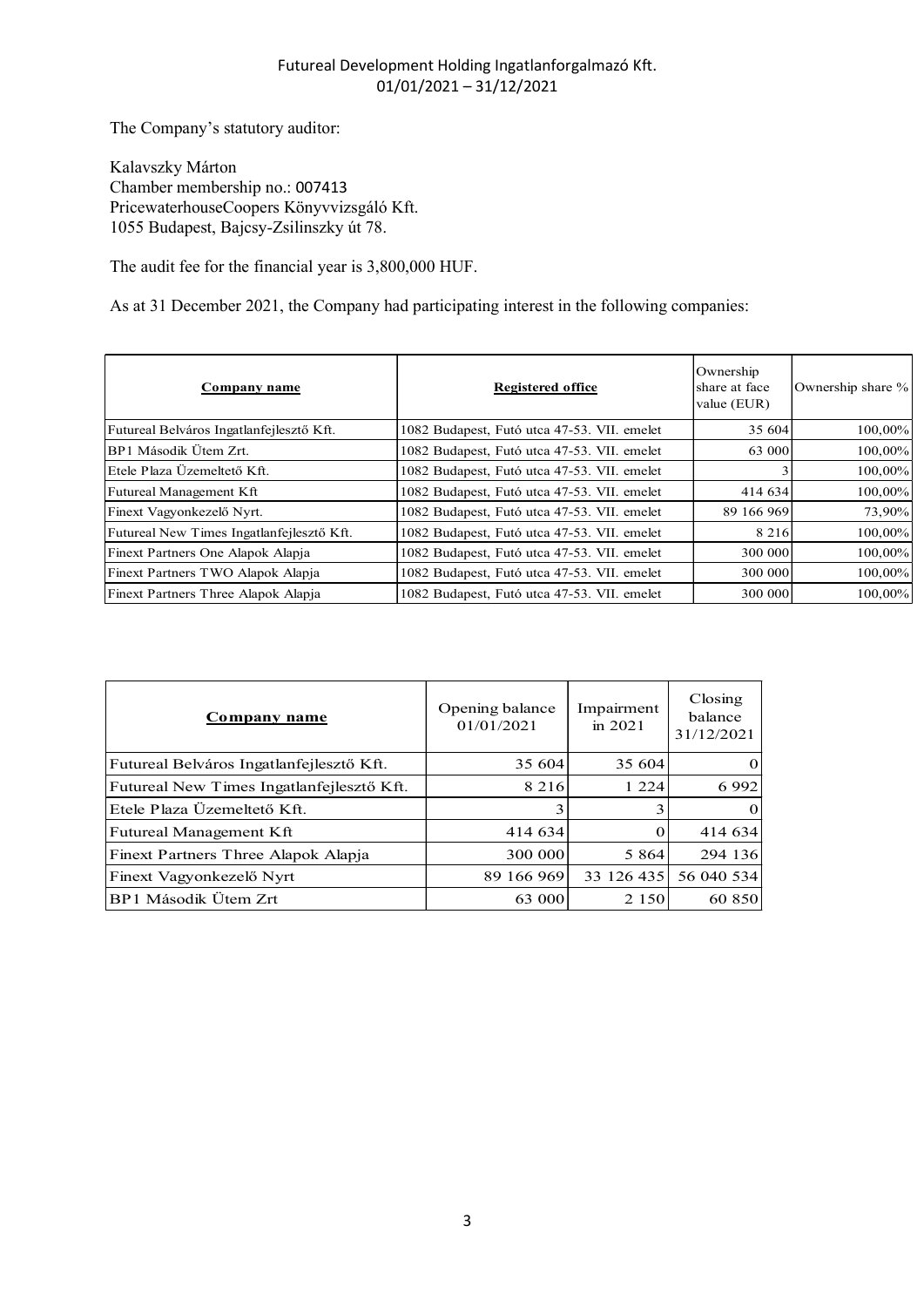|                                                                                                                                            | Futureal Development Holding Ingatlanforgalmazó Kft.<br>$01/01/2021 - 31/12/2021$ |                         |                                           |                   |
|--------------------------------------------------------------------------------------------------------------------------------------------|-----------------------------------------------------------------------------------|-------------------------|-------------------------------------------|-------------------|
| The Company's statutory auditor:                                                                                                           |                                                                                   |                         |                                           |                   |
| Kalavszky Márton<br>Chamber membership no.: 007413<br>PricewaterhouseCoopers Könyvvizsgáló Kft.<br>1055 Budapest, Bajcsy-Zsilinszky út 78. |                                                                                   |                         |                                           |                   |
| The audit fee for the financial year is 3,800,000 HUF.                                                                                     |                                                                                   |                         |                                           |                   |
| As at 31 December 2021, the Company had participating interest in the following companies:                                                 |                                                                                   |                         |                                           |                   |
| <u>Company name</u>                                                                                                                        | <b>Registered office</b>                                                          |                         | Ownership<br>share at face<br>value (EUR) | Ownership share % |
| Futureal Belváros Ingatlanfejlesztő Kft.                                                                                                   | 1082 Budapest, Futó utca 47-53. VII. emelet                                       |                         | 35 604                                    | 100,00%           |
| BP1 Második Ütem Zrt.                                                                                                                      | 1082 Budapest, Futó utca 47-53. VII. emelet                                       |                         | 63 000                                    | 100,00%           |
| Etele Plaza Üzemeltető Kft.                                                                                                                | 1082 Budapest, Futó utca 47-53. VII. emelet                                       |                         | 3                                         | 100,00%           |
| Futureal Management Kft                                                                                                                    | 1082 Budapest, Futó utca 47-53. VII. emelet                                       |                         | 414 634                                   | 100,00%           |
| Finext Vagyonkezelő Nyrt.                                                                                                                  | 1082 Budapest, Futó utca 47-53. VII. emelet                                       |                         | 89 166 969                                | 73,90%            |
| Futureal New Times Ingatlanfejlesztő Kft.                                                                                                  | 1082 Budapest, Futó utca 47-53. VII. emelet                                       |                         | 8 2 1 6                                   | 100,00%           |
| Finext Partners One Alapok Alapja                                                                                                          | 1082 Budapest, Futó utca 47-53. VII. emelet                                       |                         | 300 000                                   | 100,00%           |
| Finext Partners TWO Alapok Alapja                                                                                                          | 1082 Budapest, Futó utca 47-53. VII. emelet                                       |                         | 300 000                                   | 100,00%           |
| Finext Partners Three Alapok Alapja                                                                                                        | 1082 Budapest, Futó utca 47-53. VII. emelet                                       |                         | 300 000                                   | 100,00%           |
| <b>Company name</b>                                                                                                                        | Opening balance<br>01/01/2021                                                     | Impairment<br>in $2021$ | Closing<br>balance<br>31/12/2021          |                   |
| Futureal Belváros Ingatlanfejlesztő Kft.                                                                                                   | 35 604                                                                            | 35 604                  |                                           |                   |
| Futureal New Times Ingatlanfejlesztő Kft.                                                                                                  | 8 2 1 6                                                                           | 1 2 2 4                 | 6 9 9 2                                   |                   |
| Etele Plaza Üzemeltető Kft.                                                                                                                |                                                                                   |                         |                                           |                   |
|                                                                                                                                            |                                                                                   |                         |                                           |                   |
| Futureal Management Kft                                                                                                                    | 414 634                                                                           | $\Omega$                | 414 634                                   |                   |
| Finext Partners Three Alapok Alapja                                                                                                        | 300 000                                                                           | 5 8 6 4                 | 294 136                                   |                   |
| Finext Vagyonkezelő Nyrt                                                                                                                   | 89 166 969                                                                        |                         | 33 126 435 56 040 534                     |                   |
| BP1 Második Ütem Zrt                                                                                                                       | 63 000                                                                            | 2 1 5 0                 | 60 850                                    |                   |

| BP1 Második Ütem Zrt.                                                               | 1082 Budapest, Futó utca 47-53. VII. emelet<br>1082 Budapest, Futó utca 47-53. VII. emelet<br>1082 Budapest, Futó utca 47-53. VII. emelet |                       |                                  | 63 000  | 100,00%<br>100,00% |
|-------------------------------------------------------------------------------------|-------------------------------------------------------------------------------------------------------------------------------------------|-----------------------|----------------------------------|---------|--------------------|
| Etele Plaza Üzemeltető Kft.<br>Futureal Management Kft<br>Finext Vagyonkezelő Nyrt. |                                                                                                                                           |                       |                                  |         |                    |
|                                                                                     |                                                                                                                                           |                       |                                  |         |                    |
|                                                                                     |                                                                                                                                           |                       |                                  | 414 634 | 100,00%            |
|                                                                                     | 1082 Budapest, Futó utca 47-53. VII. emelet                                                                                               |                       | 89 166 969                       |         | 73,90%             |
| Futureal New Times Ingatlanfejlesztő Kft.                                           | 1082 Budapest, Futó utca 47-53. VII. emelet                                                                                               |                       |                                  | 8 2 1 6 | 100,00%            |
| Finext Partners One Alapok Alapja                                                   | 1082 Budapest, Futó utca 47-53. VII. emelet                                                                                               |                       |                                  | 300 000 | 100,00%            |
| Finext Partners TWO Alapok Alapja                                                   | 1082 Budapest, Futó utca 47-53. VII. emelet                                                                                               |                       |                                  | 300 000 | 100,00%            |
| Finext Partners Three Alapok Alapja                                                 | 1082 Budapest, Futó utca 47-53. VII. emelet                                                                                               |                       |                                  | 300 000 | 100,00%            |
| Company name                                                                        | Opening balance<br>01/01/2021                                                                                                             | Impairment<br>in 2021 | Closing<br>balance<br>31/12/2021 |         |                    |
| Futureal Belváros Ingatlanfejlesztő Kft.                                            | 35 604                                                                                                                                    | 35 604                |                                  |         |                    |
| Futureal New Times Ingatlanfejlesztő Kft.                                           | 8 2 1 6                                                                                                                                   | 1 2 2 4               | 6 9 9 2                          |         |                    |
| Etele Plaza Üzemeltető Kft.                                                         | 3                                                                                                                                         | 3                     |                                  |         |                    |
| Futureal Management Kft                                                             | 414 634                                                                                                                                   | $\Omega$              | 414 634                          |         |                    |
| Finext Partners Three Alapok Alapja                                                 | 300 000                                                                                                                                   | 5 8 6 4               | 294 136                          |         |                    |
| Finext Vagyonkezelő Nyrt                                                            | 89 166 969                                                                                                                                | 33 126 435            | 56 040 534                       |         |                    |
| BP1 Második Ütem Zrt                                                                | 63 000                                                                                                                                    | 2 1 5 0               | 60 850                           |         |                    |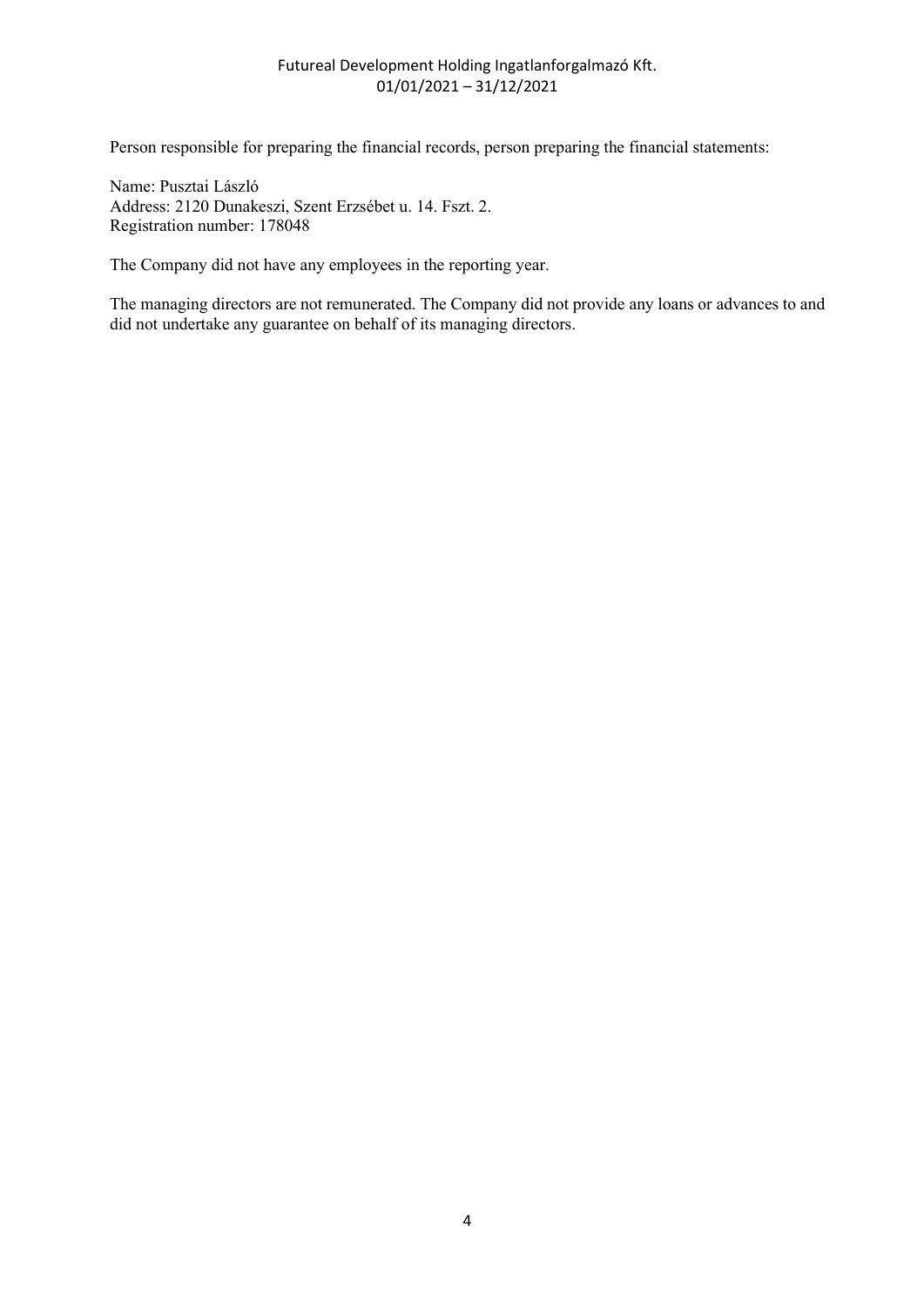Person responsible for preparing the financial records, person preparing the financial statements:

Name: Pusztai László Address: 2120 Dunakeszi, Szent Erzsébet u. 14. Fszt. 2. Registration number: 178048

The Company did not have any employees in the reporting year.

The managing directors are not remunerated. The Company did not provide any loans or advances to and did not undertake any guarantee on behalf of its managing directors.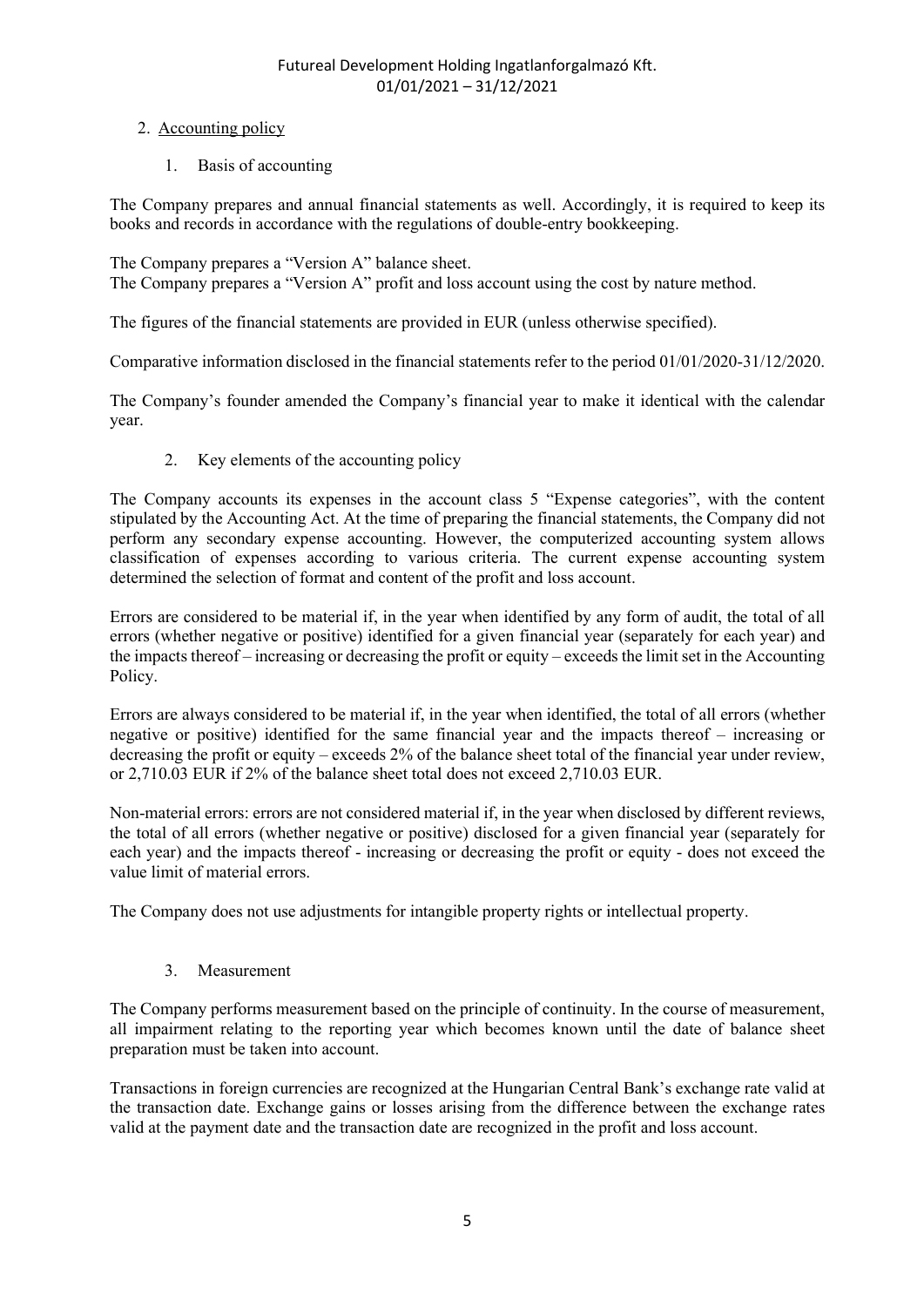## 2. Accounting policy

1. Basis of accounting

The Company prepares and annual financial statements as well. Accordingly, it is required to keep its books and records in accordance with the regulations of double-entry bookkeeping.

The Company prepares a "Version A" balance sheet. The Company prepares a "Version A" profit and loss account using the cost by nature method.

The figures of the financial statements are provided in EUR (unless otherwise specified).

Comparative information disclosed in the financial statements refer to the period 01/01/2020-31/12/2020.

The Company's founder amended the Company's financial year to make it identical with the calendar year.

2. Key elements of the accounting policy

The Company accounts its expenses in the account class 5 "Expense categories", with the content stipulated by the Accounting Act. At the time of preparing the financial statements, the Company did not perform any secondary expense accounting. However, the computerized accounting system allows classification of expenses according to various criteria. The current expense accounting system determined the selection of format and content of the profit and loss account.

Errors are considered to be material if, in the year when identified by any form of audit, the total of all errors (whether negative or positive) identified for a given financial year (separately for each year) and the impacts thereof – increasing or decreasing the profit or equity – exceeds the limit set in the Accounting Policy.

Errors are always considered to be material if, in the year when identified, the total of all errors (whether negative or positive) identified for the same financial year and the impacts thereof – increasing or decreasing the profit or equity – exceeds 2% of the balance sheet total of the financial year under review, or 2,710.03 EUR if 2% of the balance sheet total does not exceed 2,710.03 EUR.

Non-material errors: errors are not considered material if, in the year when disclosed by different reviews, the total of all errors (whether negative or positive) disclosed for a given financial year (separately for each year) and the impacts thereof - increasing or decreasing the profit or equity - does not exceed the value limit of material errors.

The Company does not use adjustments for intangible property rights or intellectual property.

## 3. Measurement

The Company performs measurement based on the principle of continuity. In the course of measurement, all impairment relating to the reporting year which becomes known until the date of balance sheet preparation must be taken into account.

Transactions in foreign currencies are recognized at the Hungarian Central Bank's exchange rate valid at the transaction date. Exchange gains or losses arising from the difference between the exchange rates valid at the payment date and the transaction date are recognized in the profit and loss account.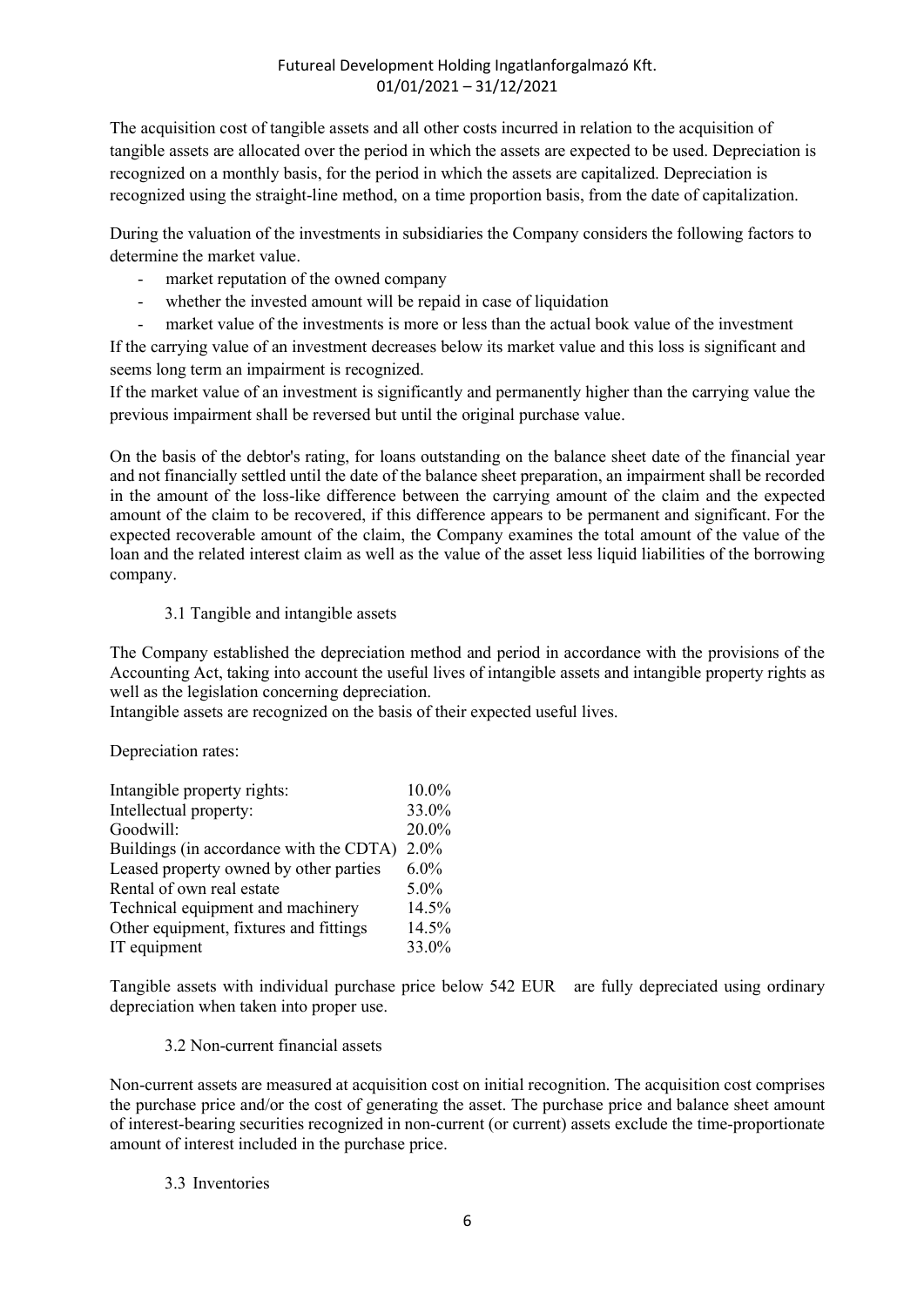The acquisition cost of tangible assets and all other costs incurred in relation to the acquisition of tangible assets are allocated over the period in which the assets are expected to be used. Depreciation is recognized on a monthly basis, for the period in which the assets are capitalized. Depreciation is recognized using the straight-line method, on a time proportion basis, from the date of capitalization.

During the valuation of the investments in subsidiaries the Company considers the following factors to determine the market value.

- market reputation of the owned company
- whether the invested amount will be repaid in case of liquidation
- market value of the investments is more or less than the actual book value of the investment

If the carrying value of an investment decreases below its market value and this loss is significant and seems long term an impairment is recognized.

If the market value of an investment is significantly and permanently higher than the carrying value the previous impairment shall be reversed but until the original purchase value.

On the basis of the debtor's rating, for loans outstanding on the balance sheet date of the financial year and not financially settled until the date of the balance sheet preparation, an impairment shall be recorded in the amount of the loss-like difference between the carrying amount of the claim and the expected amount of the claim to be recovered, if this difference appears to be permanent and significant. For the expected recoverable amount of the claim, the Company examines the total amount of the value of the loan and the related interest claim as well as the value of the asset less liquid liabilities of the borrowing company.

## 3.1 Tangible and intangible assets

The Company established the depreciation method and period in accordance with the provisions of the Accounting Act, taking into account the useful lives of intangible assets and intangible property rights as well as the legislation concerning depreciation.

Intangible assets are recognized on the basis of their expected useful lives.

Depreciation rates:

| Intangible property rights:             | 10.0% |
|-----------------------------------------|-------|
| Intellectual property:                  | 33.0% |
| Goodwill:                               | 20.0% |
| Buildings (in accordance with the CDTA) | 2.0%  |
| Leased property owned by other parties  | 6.0%  |
| Rental of own real estate               | 5.0%  |
| Technical equipment and machinery       | 14.5% |
| Other equipment, fixtures and fittings  | 14.5% |
| IT equipment                            | 33.0% |

Tangible assets with individual purchase price below 542 EUR are fully depreciated using ordinary depreciation when taken into proper use.

3.2 Non-current financial assets

Non-current assets are measured at acquisition cost on initial recognition. The acquisition cost comprises the purchase price and/or the cost of generating the asset. The purchase price and balance sheet amount of interest-bearing securities recognized in non-current (or current) assets exclude the time-proportionate amount of interest included in the purchase price.

## 3.3 Inventories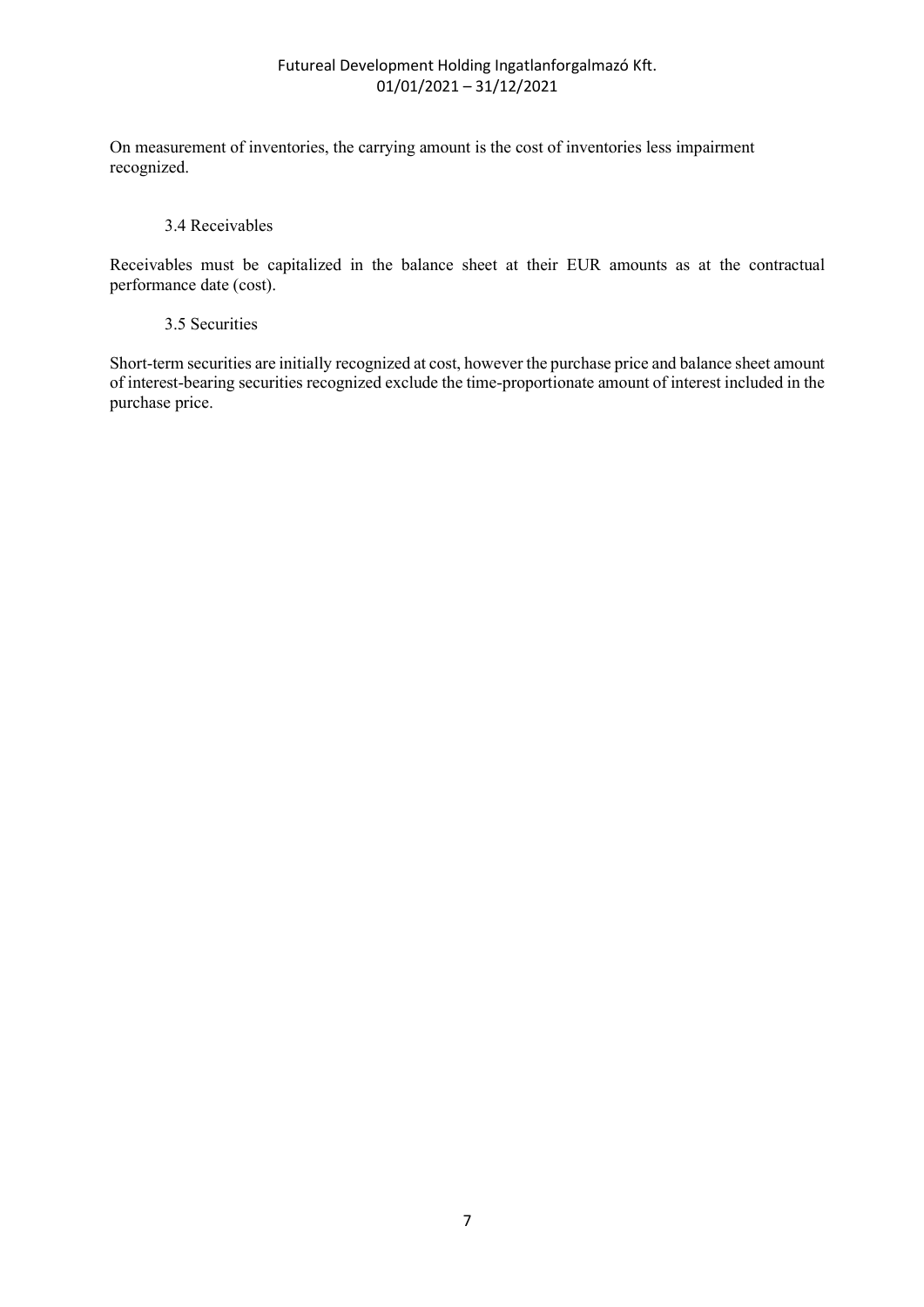On measurement of inventories, the carrying amount is the cost of inventories less impairment recognized.

#### 3.4 Receivables

Receivables must be capitalized in the balance sheet at their EUR amounts as at the contractual performance date (cost).

#### 3.5 Securities

Short-term securities are initially recognized at cost, however the purchase price and balance sheet amount of interest-bearing securities recognized exclude the time-proportionate amount of interest included in the purchase price.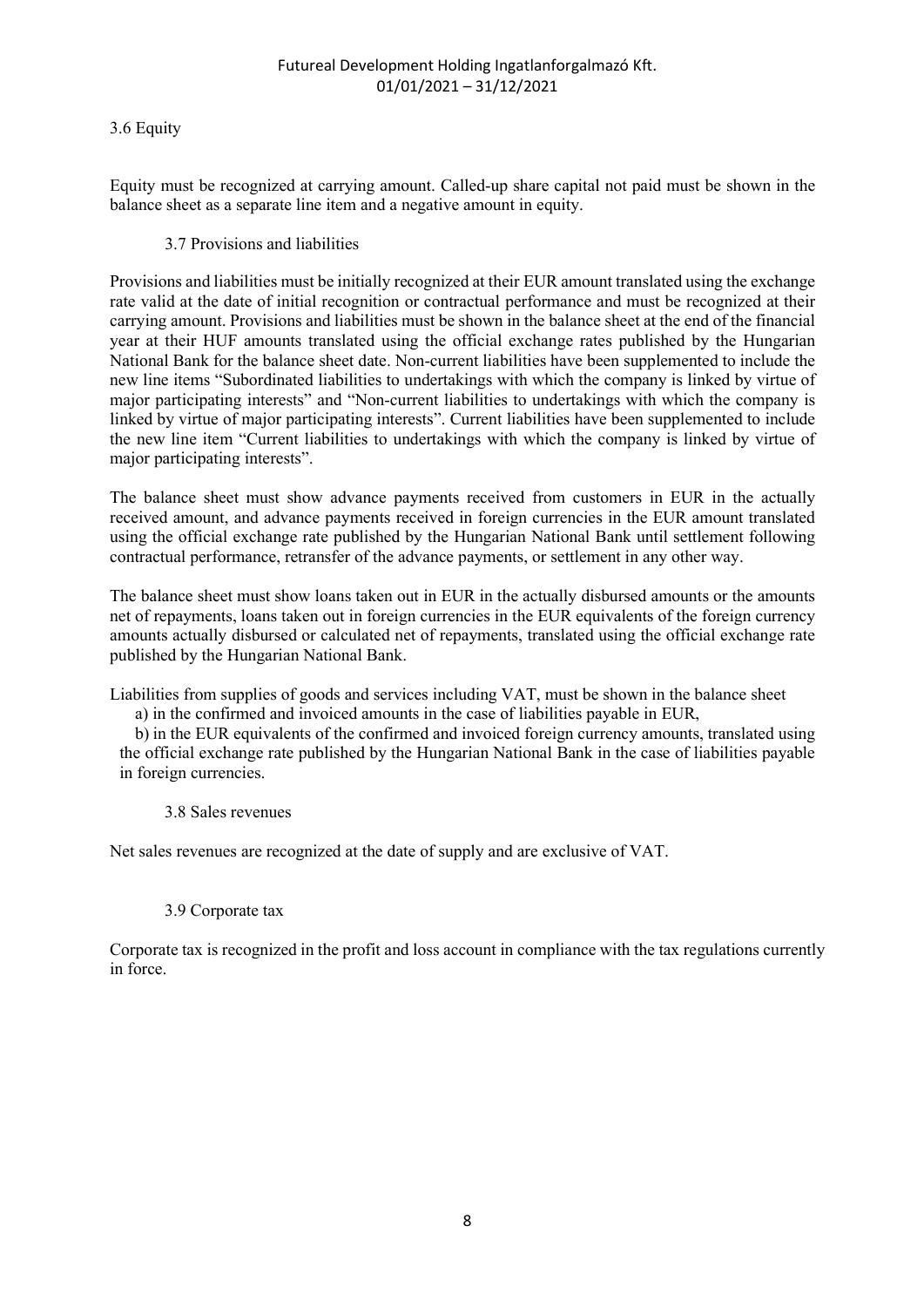#### 3.6 Equity

Equity must be recognized at carrying amount. Called-up share capital not paid must be shown in the balance sheet as a separate line item and a negative amount in equity.

#### 3.7 Provisions and liabilities

Provisions and liabilities must be initially recognized at their EUR amount translated using the exchange rate valid at the date of initial recognition or contractual performance and must be recognized at their carrying amount. Provisions and liabilities must be shown in the balance sheet at the end of the financial year at their HUF amounts translated using the official exchange rates published by the Hungarian National Bank for the balance sheet date. Non-current liabilities have been supplemented to include the new line items "Subordinated liabilities to undertakings with which the company is linked by virtue of major participating interests" and "Non-current liabilities to undertakings with which the company is linked by virtue of major participating interests". Current liabilities have been supplemented to include the new line item "Current liabilities to undertakings with which the company is linked by virtue of major participating interests".

The balance sheet must show advance payments received from customers in EUR in the actually received amount, and advance payments received in foreign currencies in the EUR amount translated using the official exchange rate published by the Hungarian National Bank until settlement following contractual performance, retransfer of the advance payments, or settlement in any other way.

The balance sheet must show loans taken out in EUR in the actually disbursed amounts or the amounts net of repayments, loans taken out in foreign currencies in the EUR equivalents of the foreign currency amounts actually disbursed or calculated net of repayments, translated using the official exchange rate published by the Hungarian National Bank.

Liabilities from supplies of goods and services including VAT, must be shown in the balance sheet

a) in the confirmed and invoiced amounts in the case of liabilities payable in EUR,

b) in the EUR equivalents of the confirmed and invoiced foreign currency amounts, translated using the official exchange rate published by the Hungarian National Bank in the case of liabilities payable in foreign currencies.

#### 3.8 Sales revenues

Net sales revenues are recognized at the date of supply and are exclusive of VAT.

#### 3.9 Corporate tax

Corporate tax is recognized in the profit and loss account in compliance with the tax regulations currently in force.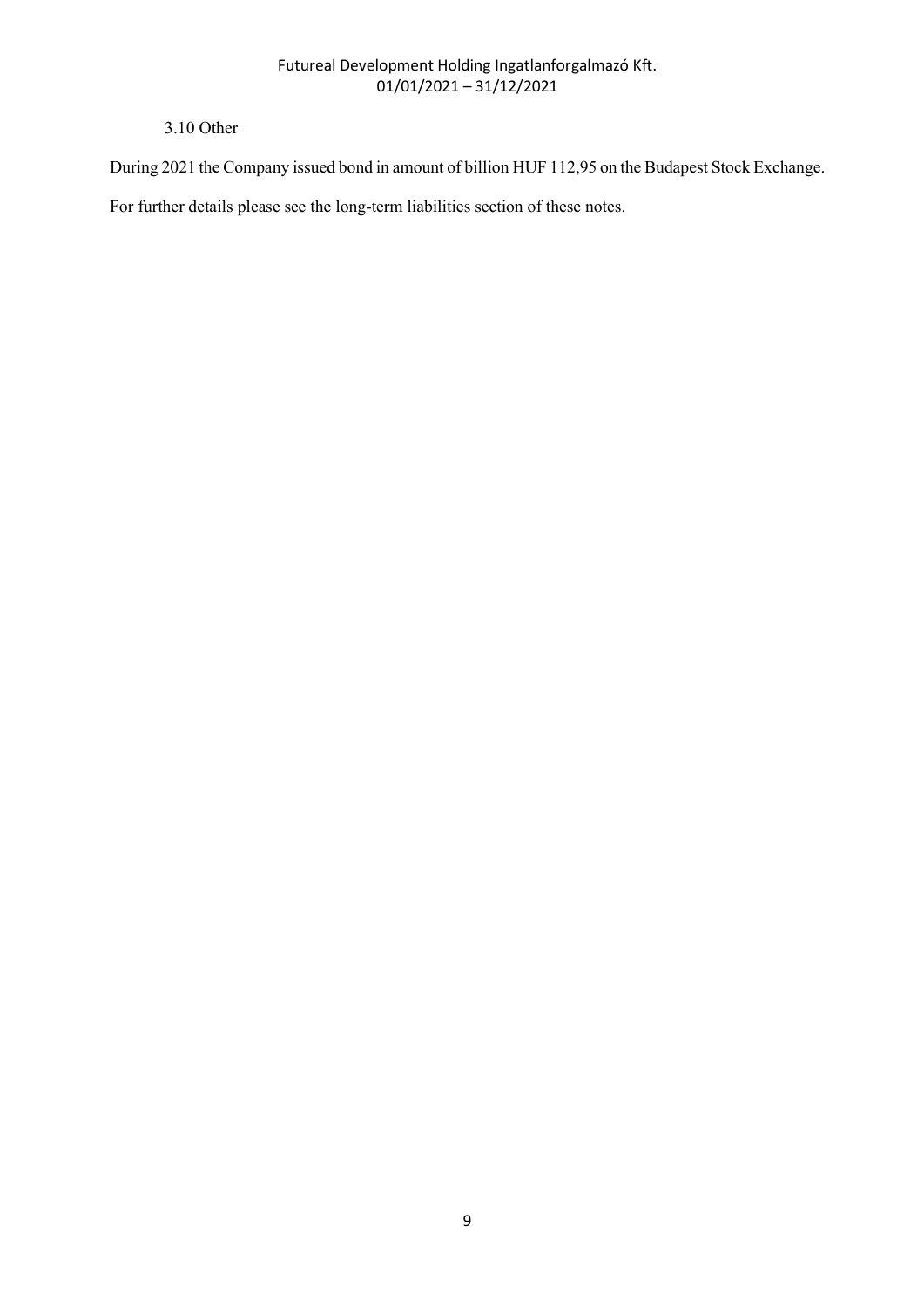## 3.10 Other

During 2021 the Company issued bond in amount of billion HUF 112,95 on the Budapest Stock Exchange.

For further details please see the long-term liabilities section of these notes.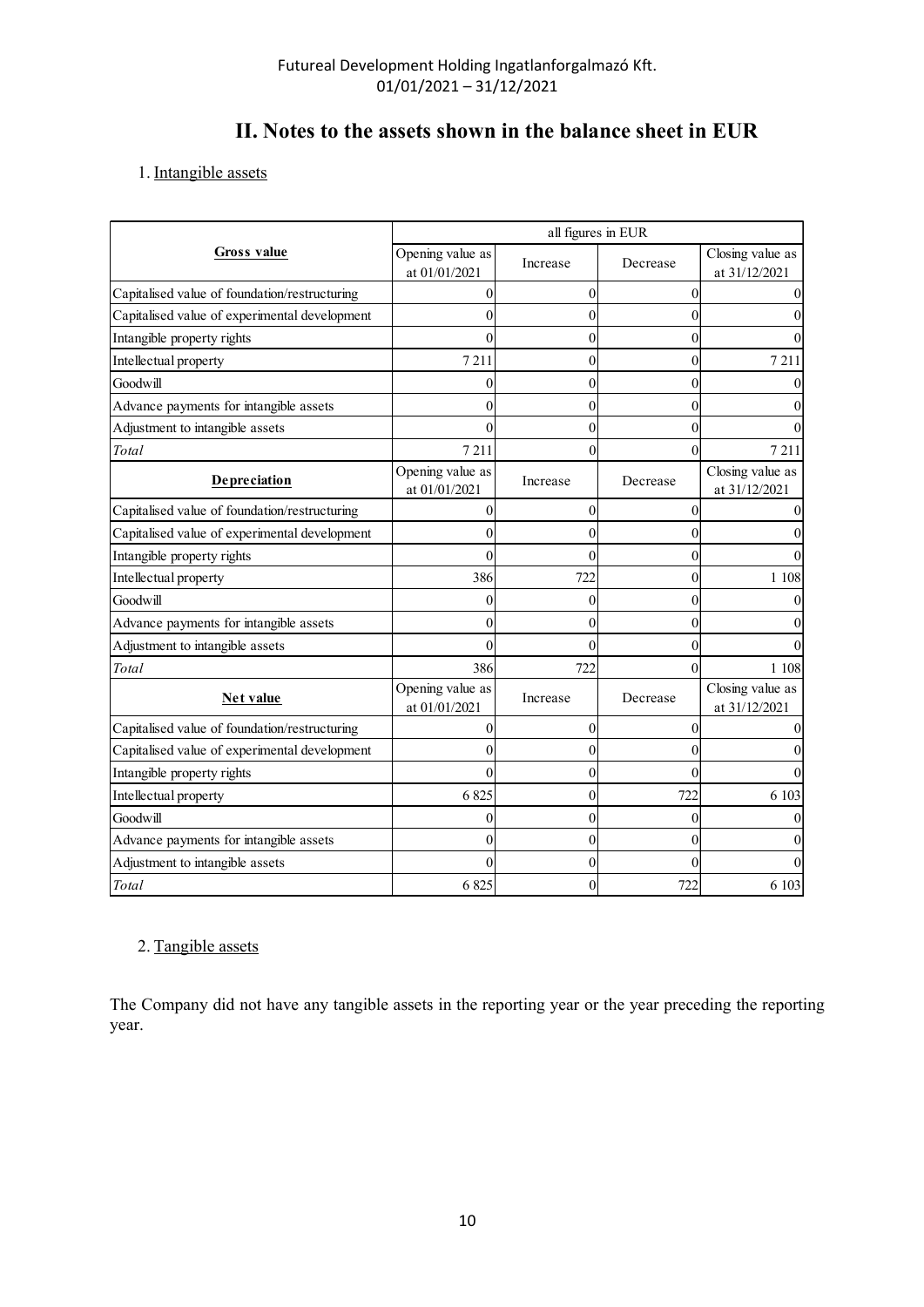# II. Notes to the assets shown in the balance sheet in EUR

| II. Notes to the assets shown in the balance sheet in EUR           | Futureal Development Holding Ingatlanforgalmazó Kft.<br>$01/01/2021 - 31/12/2021$ |                    |          |                                   |
|---------------------------------------------------------------------|-----------------------------------------------------------------------------------|--------------------|----------|-----------------------------------|
|                                                                     |                                                                                   |                    |          |                                   |
|                                                                     |                                                                                   |                    |          |                                   |
| 1. Intangible assets                                                |                                                                                   |                    |          |                                   |
|                                                                     |                                                                                   | all figures in EUR |          |                                   |
| <b>Gross value</b>                                                  | Opening value as<br>at 01/01/2021                                                 | Increase           | Decrease | Closing value as<br>at 31/12/2021 |
| Capitalised value of foundation/restructuring                       |                                                                                   | $\Omega$           |          |                                   |
| Capitalised value of experimental development                       |                                                                                   | 0                  |          |                                   |
| Intangible property rights                                          |                                                                                   | 0                  |          |                                   |
| Intellectual property                                               | 7211                                                                              | 0                  |          | 7 2 1 1                           |
| Goodwill                                                            |                                                                                   | 0                  |          |                                   |
| Advance payments for intangible assets                              |                                                                                   | 0                  |          |                                   |
| Adjustment to intangible assets                                     |                                                                                   | 0                  |          |                                   |
| Total                                                               | 7 2 1 1                                                                           | $\Omega$           |          | 7 2 1 1                           |
| Depreciation                                                        | Opening value as<br>at 01/01/2021                                                 | Increase           | Decrease | Closing value as<br>at 31/12/2021 |
| Capitalised value of foundation/restructuring                       |                                                                                   | $\overline{0}$     |          |                                   |
| Capitalised value of experimental development                       |                                                                                   | 0                  |          |                                   |
| Intangible property rights                                          |                                                                                   |                    |          |                                   |
| Intellectual property                                               | 386                                                                               | v<br>722           |          | 1 1 0 8                           |
| Goodwill                                                            |                                                                                   | $\overline{0}$     |          |                                   |
| Advance payments for intangible assets                              |                                                                                   | $\Omega$           |          |                                   |
| Adjustment to intangible assets                                     |                                                                                   | $\Omega$           |          |                                   |
| Total                                                               | 386                                                                               | 722                |          | 1 1 0 8                           |
| <b>Net value</b>                                                    | Opening value as<br>at $01/01/2021\,$                                             | Increase           | Decrease | Closing value as<br>at 31/12/2021 |
| Capitalised value of foundation/restructuring                       |                                                                                   | $\overline{0}$     |          |                                   |
| Capitalised value of experimental development                       |                                                                                   |                    |          |                                   |
| Intangible property rights                                          |                                                                                   | $\theta$           |          |                                   |
| Intellectual property                                               | 6825                                                                              | $\theta$           | 722      | 6 103                             |
|                                                                     |                                                                                   | $\Omega$           |          |                                   |
| $\operatorname{Goodwill}$<br>Advance payments for intangible assets |                                                                                   | $\Omega$           |          |                                   |
|                                                                     |                                                                                   |                    | $\Omega$ |                                   |
| Adjustment to intangible assets                                     |                                                                                   | $\overline{0}$     |          |                                   |
| Total                                                               | 6 8 25                                                                            | $\overline{0}$     | 722      | 6 103                             |

## 2. Tangible assets

The Company did not have any tangible assets in the reporting year or the year preceding the reporting year.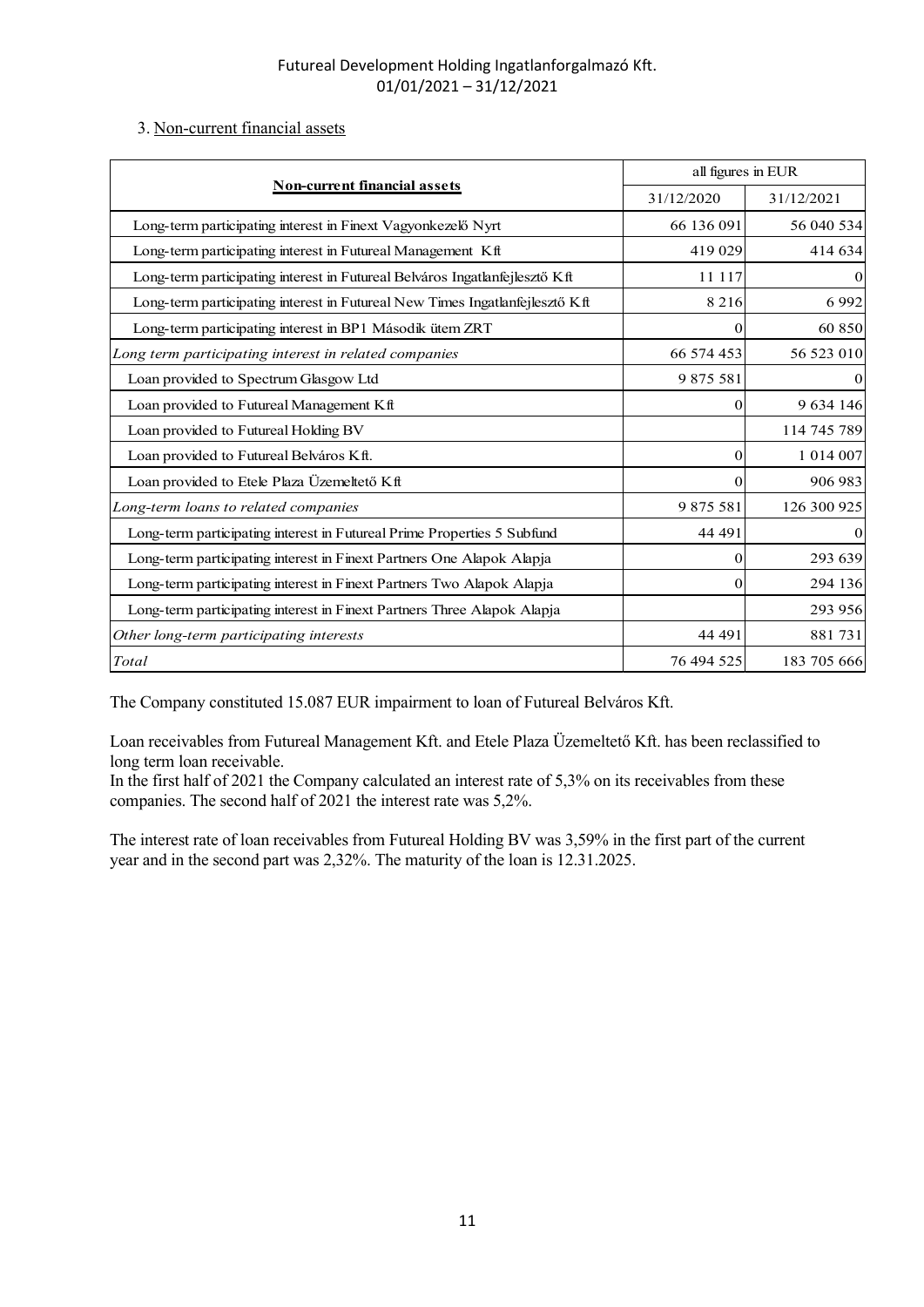## 3. Non-current financial assets

| Futureal Development Holding Ingatlanforgalmazó Kft.                         |                                  |               |
|------------------------------------------------------------------------------|----------------------------------|---------------|
|                                                                              |                                  |               |
|                                                                              |                                  |               |
| $01/01/2021 - 31/12/2021$                                                    |                                  |               |
| 3. Non-current financial assets                                              |                                  |               |
|                                                                              |                                  |               |
| <b>Non-current financial assets</b>                                          | all figures in EUR<br>31/12/2020 | 31/12/2021    |
| Long-term participating interest in Finext Vagyonkezelő Nyrt                 | 66 136 091                       | 56 040 534    |
| Long-term participating interest in Futureal Management Kft                  | 419 029                          | 414 634       |
| Long-term participating interest in Futureal Belváros Ingatlanfejlesztő Kft  | 11 117                           |               |
| Long-term participating interest in Futureal New Times Ingatlanfejlesztő Kft | 8 2 1 6                          | 6992          |
| Long-term participating interest in BP1 Második ütem ZRT                     |                                  | 60 850        |
| Long term participating interest in related companies                        | 66 574 453                       | 56 523 010    |
| Loan provided to Spectrum Glasgow Ltd                                        | 9 875 581                        |               |
| Loan provided to Futureal Management Kft                                     |                                  | 9 634 146     |
| Loan provided to Futureal Holding BV                                         |                                  | 114 745 789   |
| Loan provided to Futureal Belváros Kft.                                      | $\Omega$                         | 1 0 1 4 0 0 7 |
| Loan provided to Etele Plaza Üzemeltető Kft                                  | $\Omega$                         | 906 983       |
| Long-term loans to related companies                                         | 9 875 581                        | 126 300 925   |
| Long-term participating interest in Futureal Prime Properties 5 Subfund      | 44 491                           |               |
| Long-term participating interest in Finext Partners One Alapok Alapja        | $\Omega$                         | 293 639       |
| Long-term participating interest in Finext Partners Two Alapok Alapja        |                                  | 294 136       |
| Long-term participating interest in Finext Partners Three Alapok Alapja      |                                  | 293 956       |
| Other long-term participating interests                                      | 44 491                           | 881731        |
| $\operatorname{Total}$                                                       | 76 494 525                       | 183 705 666   |

Loan receivables from Futureal Management Kft. and Etele Plaza Üzemeltető Kft. has been reclassified to long term loan receivable.

In the first half of 2021 the Company calculated an interest rate of 5,3% on its receivables from these companies. The second half of 2021 the interest rate was 5,2%.

The interest rate of loan receivables from Futureal Holding BV was 3,59% in the first part of the current year and in the second part was 2,32%. The maturity of the loan is 12.31.2025.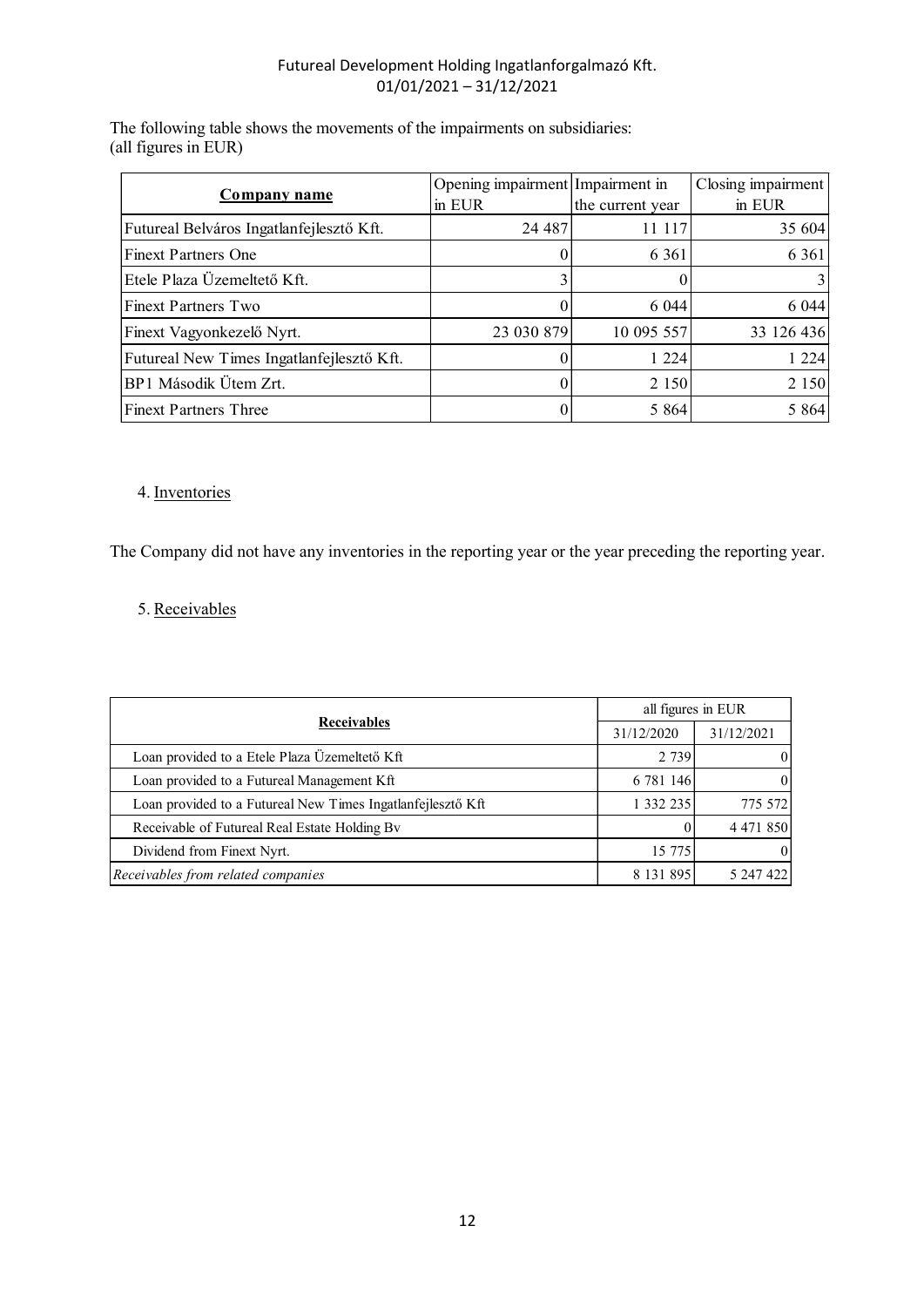|                                                                                                    | Futureal Development Holding Ingatlanforgalmazó Kft.<br>$01/01/2021 - 31/12/2021$ |                  |                    |
|----------------------------------------------------------------------------------------------------|-----------------------------------------------------------------------------------|------------------|--------------------|
|                                                                                                    |                                                                                   |                  |                    |
| The following table shows the movements of the impairments on subsidiaries:<br>all figures in EUR) |                                                                                   |                  |                    |
|                                                                                                    |                                                                                   |                  |                    |
|                                                                                                    | Opening impairment Impairment in                                                  |                  | Closing impairment |
| <b>Company name</b>                                                                                | in EUR                                                                            | the current year | in EUR             |
| Futureal Belváros Ingatlanfejlesztő Kft.                                                           | 24 4 8 7                                                                          | 11 117           | 35 604             |
| <b>Finext Partners One</b>                                                                         | 0                                                                                 | 6 3 6 1          | 6 3 6 1            |
| Etele Plaza Üzemeltető Kft.                                                                        | 3                                                                                 | $\Omega$         |                    |
| <b>Finext Partners Two</b>                                                                         | $\Omega$                                                                          | 6 0 4 4          | 6 0 4 4            |
| Finext Vagyonkezelő Nyrt.                                                                          | 23 030 879                                                                        | 10 095 557       | 33 126 436         |
| Futureal New Times Ingatlanfejlesztő Kft.                                                          | $\theta$                                                                          | 1 2 2 4          | 1 2 2 4            |
| BP1 Második Ütem Zrt.                                                                              | 0                                                                                 | 2 1 5 0          | 2 1 5 0            |

## 4. Inventories

## 5. Receivables

| Finext Vagyonkezelo Nyrt.                                                                                                  | 23 030 879       | 10.095.55/            | 33 126 436 |
|----------------------------------------------------------------------------------------------------------------------------|------------------|-----------------------|------------|
| Futureal New Times Ingatlanfejlesztő Kft.                                                                                  | $\theta$         | 1 2 2 4               | 1 2 2 4    |
| BP1 Második Ütem Zrt.                                                                                                      | $\boldsymbol{0}$ | 2 1 5 0               | 2 1 5 0    |
| <b>Finext Partners Three</b>                                                                                               | $\vert 0 \vert$  | 5 8 6 4               | 5 8 6 4    |
| 4. Inventories<br>The Company did not have any inventories in the reporting year or the year preceding the reporting year. |                  |                       |            |
| 5. Receivables                                                                                                             |                  |                       |            |
|                                                                                                                            |                  |                       |            |
| Receivables                                                                                                                |                  | all figures in EUR    |            |
|                                                                                                                            |                  | 31/12/2020<br>2 7 3 9 | 31/12/2021 |
| Loan provided to a Etele Plaza Üzemeltető Kft<br>Loan provided to a Futureal Management Kft                                |                  | 6 781 146             |            |
| Loan provided to a Futureal New Times Ingatlanfejlesztő Kft                                                                |                  | 1 332 235             | 775 572    |
| Receivable of Futureal Real Estate Holding Bv                                                                              |                  | $\Omega$              | 4 471 850  |
| Dividend from Finext Nyrt.                                                                                                 |                  | 15 775                |            |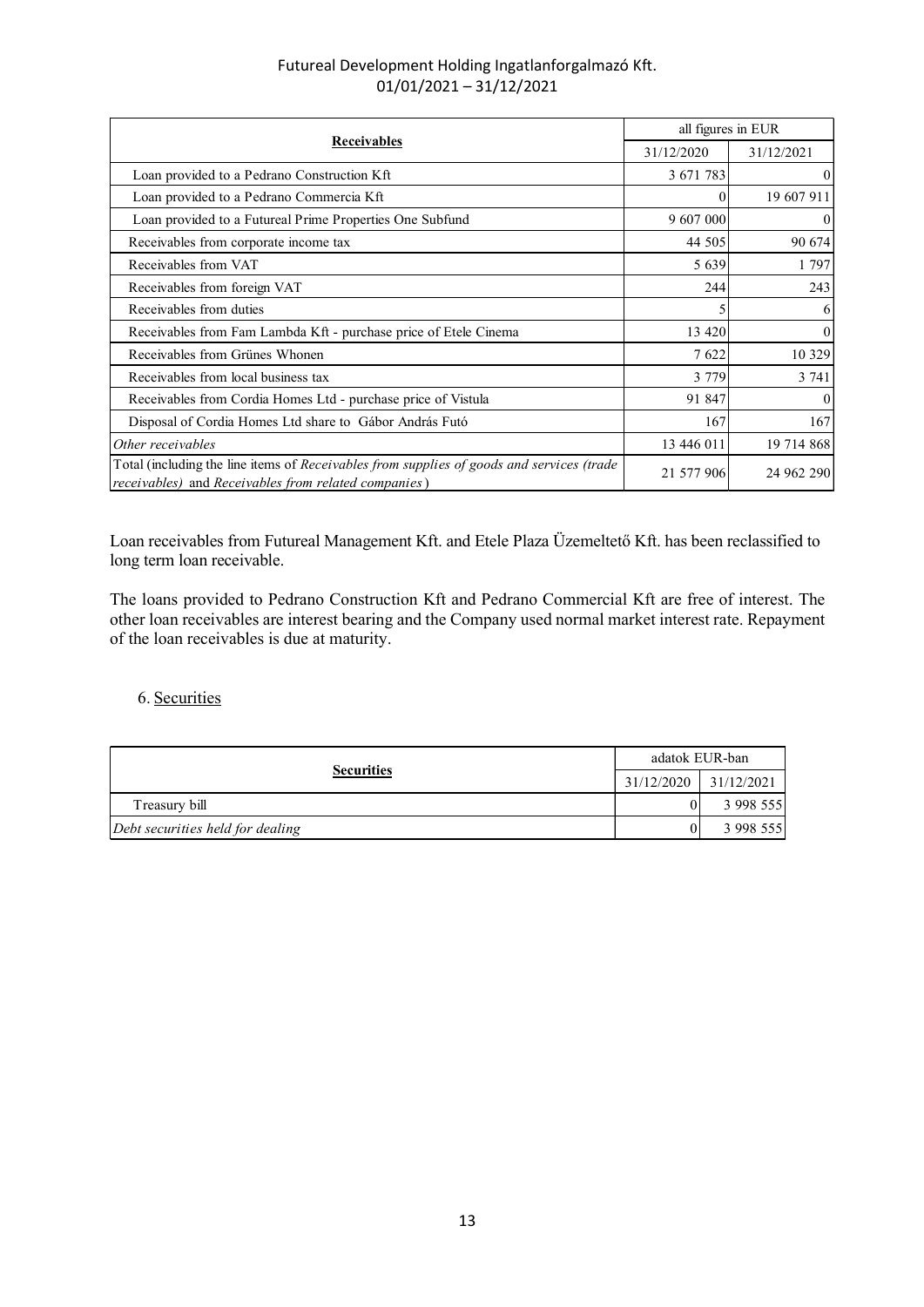| Futureal Development Holding Ingatlanforgalmazó Kft.<br>$01/01/2021 - 31/12/2021$                                                                 |                    |            |
|---------------------------------------------------------------------------------------------------------------------------------------------------|--------------------|------------|
|                                                                                                                                                   |                    |            |
|                                                                                                                                                   |                    |            |
|                                                                                                                                                   |                    |            |
|                                                                                                                                                   |                    |            |
|                                                                                                                                                   |                    |            |
|                                                                                                                                                   |                    |            |
|                                                                                                                                                   |                    |            |
|                                                                                                                                                   |                    |            |
|                                                                                                                                                   |                    |            |
| Receivables                                                                                                                                       | all figures in EUR |            |
|                                                                                                                                                   | 31/12/2020         | 31/12/2021 |
| Loan provided to a Pedrano Construction Kft                                                                                                       | 3 671 783          |            |
| Loan provided to a Pedrano Commercia Kft                                                                                                          |                    | 19 607 911 |
| Loan provided to a Futureal Prime Properties One Subfund                                                                                          | 9 607 000          |            |
| Receivables from corporate income tax                                                                                                             | 44 505             | 90 674     |
| Receivables from VAT                                                                                                                              | 5 6 3 9            | 1 7 9 7    |
| Receivables from foreign VAT                                                                                                                      | 244                | 243        |
| Receivables from duties                                                                                                                           |                    |            |
| Receivables from Fam Lambda Kft - purchase price of Etele Cinema<br>Receivables from Grünes Whonen                                                | 13 4 20<br>7622    | 10 329     |
| Receivables from local business tax                                                                                                               | 3 7 7 9            | 3 741      |
| Receivables from Cordia Homes Ltd - purchase price of Vistula                                                                                     | 91 847             |            |
| Disposal of Cordia Homes Ltd share to Gábor András Futó                                                                                           | 167                | 167        |
| Other receivables                                                                                                                                 | 13 446 011         | 19 714 868 |
| Total (including the line items of Receivables from supplies of goods and services (trade<br>receivables) and Receivables from related companies) | 21 577 906         | 24 962 290 |
|                                                                                                                                                   |                    |            |
|                                                                                                                                                   |                    |            |
| Loan receivables from Futureal Management Kft. and Etele Plaza Üzemeltető Kft. has been reclassified to                                           |                    |            |
| long term loan receivable.                                                                                                                        |                    |            |
| The loans provided to Pedrano Construction Kft and Pedrano Commercial Kft are free of interest. The                                               |                    |            |
| other loan receivables are interest bearing and the Company used normal market interest rate. Repayment                                           |                    |            |
| of the loan receivables is due at maturity.                                                                                                       |                    |            |
|                                                                                                                                                   |                    |            |
| 6. Securities                                                                                                                                     |                    |            |
|                                                                                                                                                   |                    |            |
|                                                                                                                                                   |                    |            |
|                                                                                                                                                   | adatok EUR-ban     |            |
| <b>Securities</b>                                                                                                                                 | 31/12/2020         | 31/12/2021 |
|                                                                                                                                                   |                    | 3 998 555  |
| Treasury bill                                                                                                                                     |                    |            |

## 6. Securities

| Other receivables                                                                                                                                                                                                                                             |                          |            |
|---------------------------------------------------------------------------------------------------------------------------------------------------------------------------------------------------------------------------------------------------------------|--------------------------|------------|
|                                                                                                                                                                                                                                                               | 13 446 011               | 19 714 868 |
| Total (including the line items of Receivables from supplies of goods and services (trade<br>receivables) and Receivables from related companies)                                                                                                             | 21 577 906               | 24 962 290 |
| Loan receivables from Futureal Management Kft. and Etele Plaza Üzemeltető Kft. has been reclassified to<br>long term loan receivable.                                                                                                                         |                          |            |
| The loans provided to Pedrano Construction Kft and Pedrano Commercial Kft are free of interest. The<br>other loan receivables are interest bearing and the Company used normal market interest rate. Repayment<br>of the loan receivables is due at maturity. |                          |            |
| 6. Securities                                                                                                                                                                                                                                                 |                          |            |
|                                                                                                                                                                                                                                                               | adatok EUR-ban           |            |
| <b>Securities</b>                                                                                                                                                                                                                                             | 31/12/2021<br>31/12/2020 |            |
|                                                                                                                                                                                                                                                               |                          |            |
| Treasury bill                                                                                                                                                                                                                                                 |                          | 3 998 555  |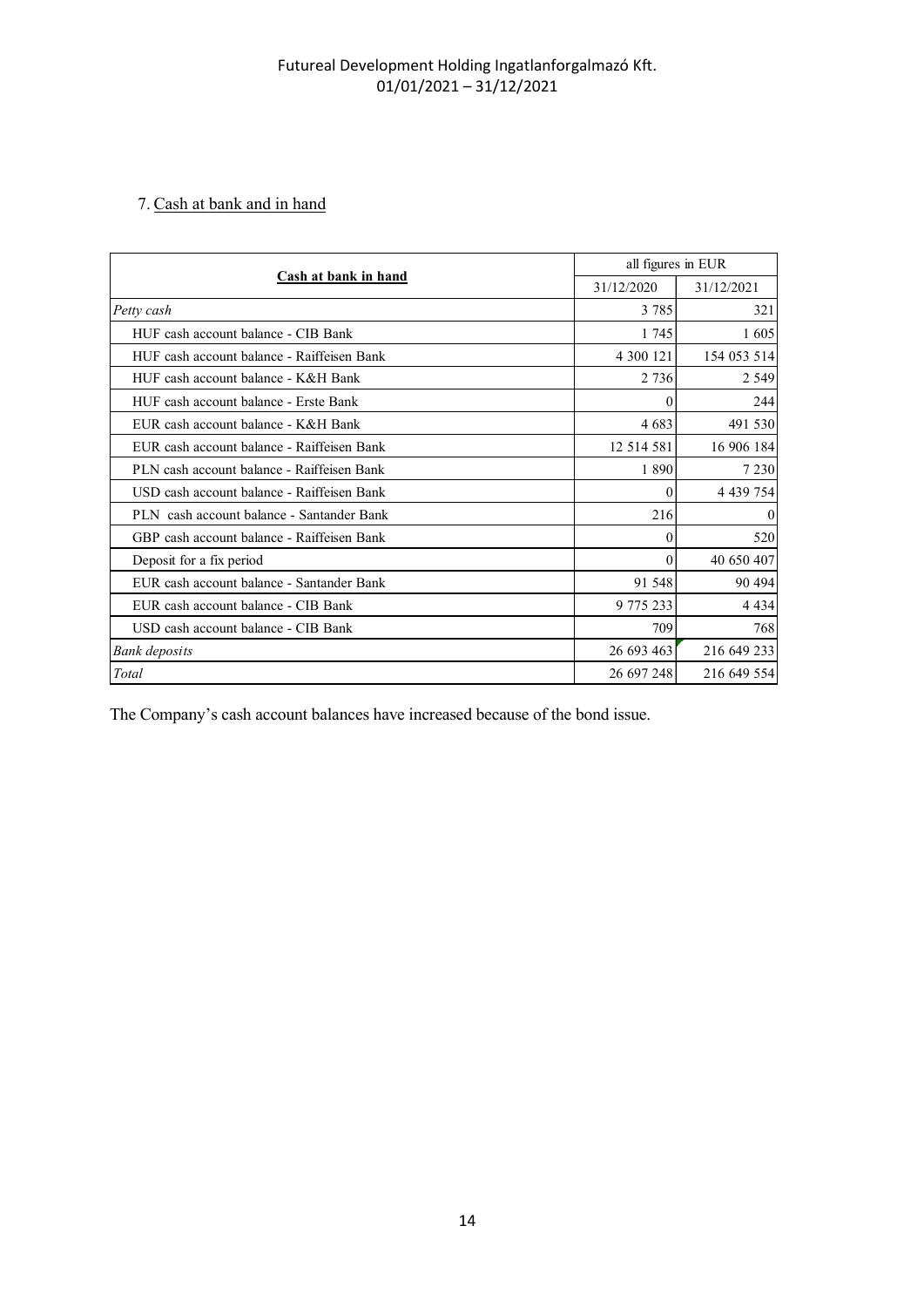## 7. Cash at bank and in hand

|                                            | $01/01/2021 - 31/12/2021$ |             |
|--------------------------------------------|---------------------------|-------------|
| 7. Cash at bank and in hand                |                           |             |
| Cash at bank in hand                       | all figures in EUR        |             |
|                                            | 31/12/2020                | 31/12/2021  |
| Petty cash                                 | 3 7 8 5                   | 321         |
| HUF cash account balance - CIB Bank        | 1745                      | 1 605       |
| HUF cash account balance - Raiffeisen Bank | 4 300 121                 | 154 053 514 |
| HUF cash account balance - K&H Bank        | 2 7 3 6                   | 2 5 4 9     |
| HUF cash account balance - Erste Bank      | 0                         | 244         |
| EUR cash account balance - K&H Bank        | 4 6 8 3                   | 491 530     |
| EUR cash account balance - Raiffeisen Bank | 12 514 581                | 16 906 184  |
| PLN cash account balance - Raiffeisen Bank | 1890                      | 7 2 3 0     |
| USD cash account balance - Raiffeisen Bank |                           | 4 439 754   |
| PLN cash account balance - Santander Bank  | 216                       |             |
| GBP cash account balance - Raiffeisen Bank | 0                         | 520         |
| Deposit for a fix period                   | $\overline{0}$            | 40 650 407  |
| EUR cash account balance - Santander Bank  | 91 548                    | 90 4 94     |
|                                            | 9 775 233                 | 4 4 3 4     |
| EUR cash account balance - CIB Bank        |                           |             |
| USD cash account balance - CIB Bank        | 709                       | 768         |
| <b>Bank</b> deposits                       | 26 693 463                | 216 649 233 |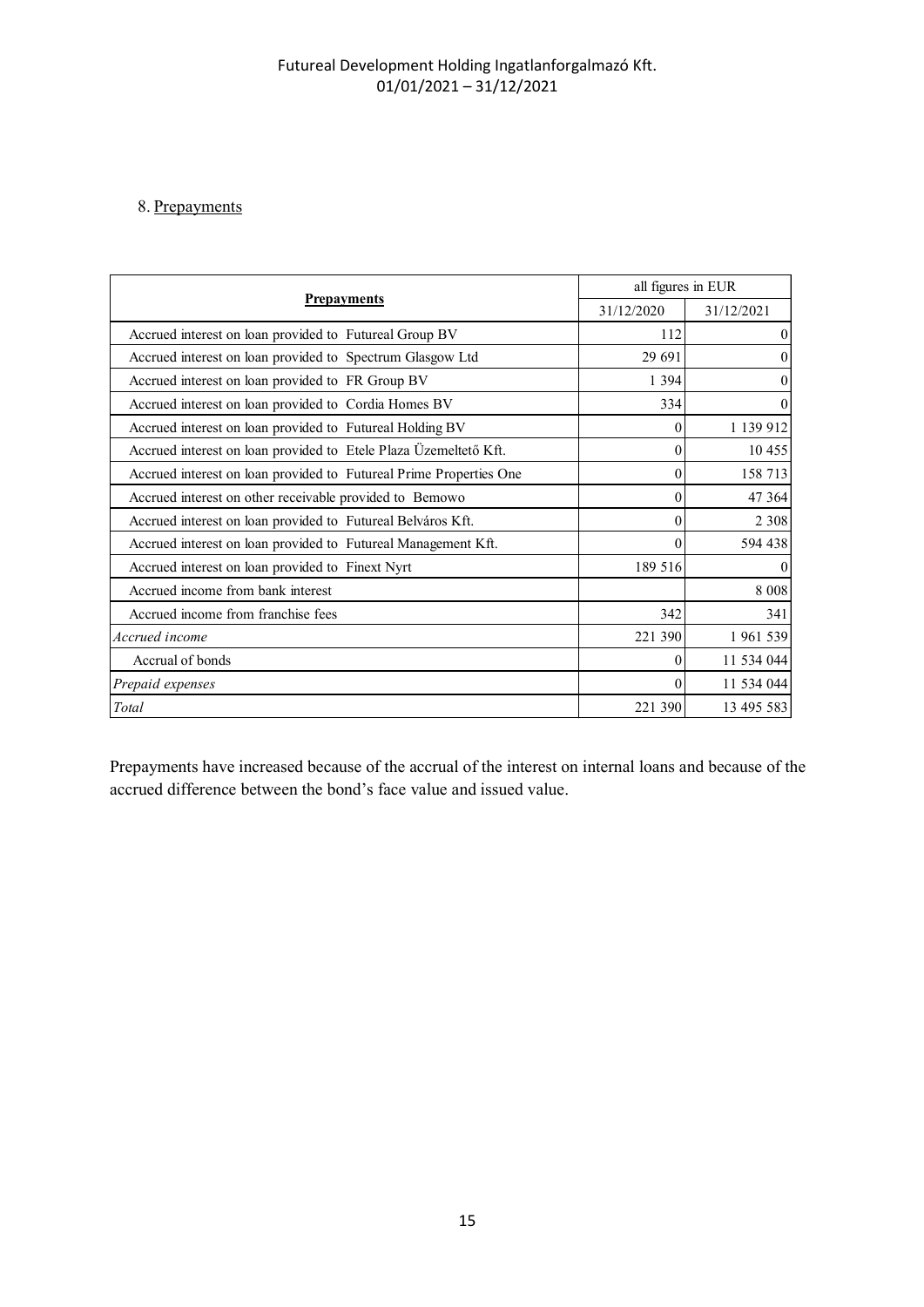# 8. Prepayments

| Futureal Development Holding Ingatlanforgalmazó Kft.<br>$01/01/2021 - 31/12/2021$ |                    |            |
|-----------------------------------------------------------------------------------|--------------------|------------|
| 8. Prepayments                                                                    |                    |            |
| <b>Prepayments</b>                                                                | all figures in EUR |            |
|                                                                                   | 31/12/2020         | 31/12/2021 |
| Accrued interest on loan provided to Futureal Group BV                            | 112                |            |
| Accrued interest on loan provided to Spectrum Glasgow Ltd                         | 29 691             |            |
| Accrued interest on loan provided to FR Group BV                                  | 1 3 9 4            |            |
| Accrued interest on loan provided to Cordia Homes BV                              | 334                |            |
| Accrued interest on loan provided to Futureal Holding BV                          | $\boldsymbol{0}$   | 1 139 912  |
| Accrued interest on loan provided to Etele Plaza Üzemeltető Kft.                  | $\mathbf{0}$       | 10 455     |
| Accrued interest on loan provided to Futureal Prime Properties One                | $\boldsymbol{0}$   | 158 713    |
| Accrued interest on other receivable provided to Bemowo                           | $\mathbf{0}$       | 47 3 64    |
| Accrued interest on loan provided to Futureal Belváros Kft.                       | $\boldsymbol{0}$   | 2 3 0 8    |
| Accrued interest on loan provided to Futureal Management Kft.                     | $\theta$           | 594 438    |
| Accrued interest on loan provided to Finext Nyrt                                  | 189 516            |            |
| Accrued income from bank interest                                                 |                    | 8 0 0 8    |
| Accrued income from franchise fees                                                | 342                | 341        |
| Accrued income                                                                    | 221 390            | 1961539    |
| Accrual of bonds                                                                  | $\theta$           | 11 534 044 |
| Prepaid expenses                                                                  | $\theta$           | 11 534 044 |
| $\operatorname{Total}$                                                            | 221 390            | 13 495 583 |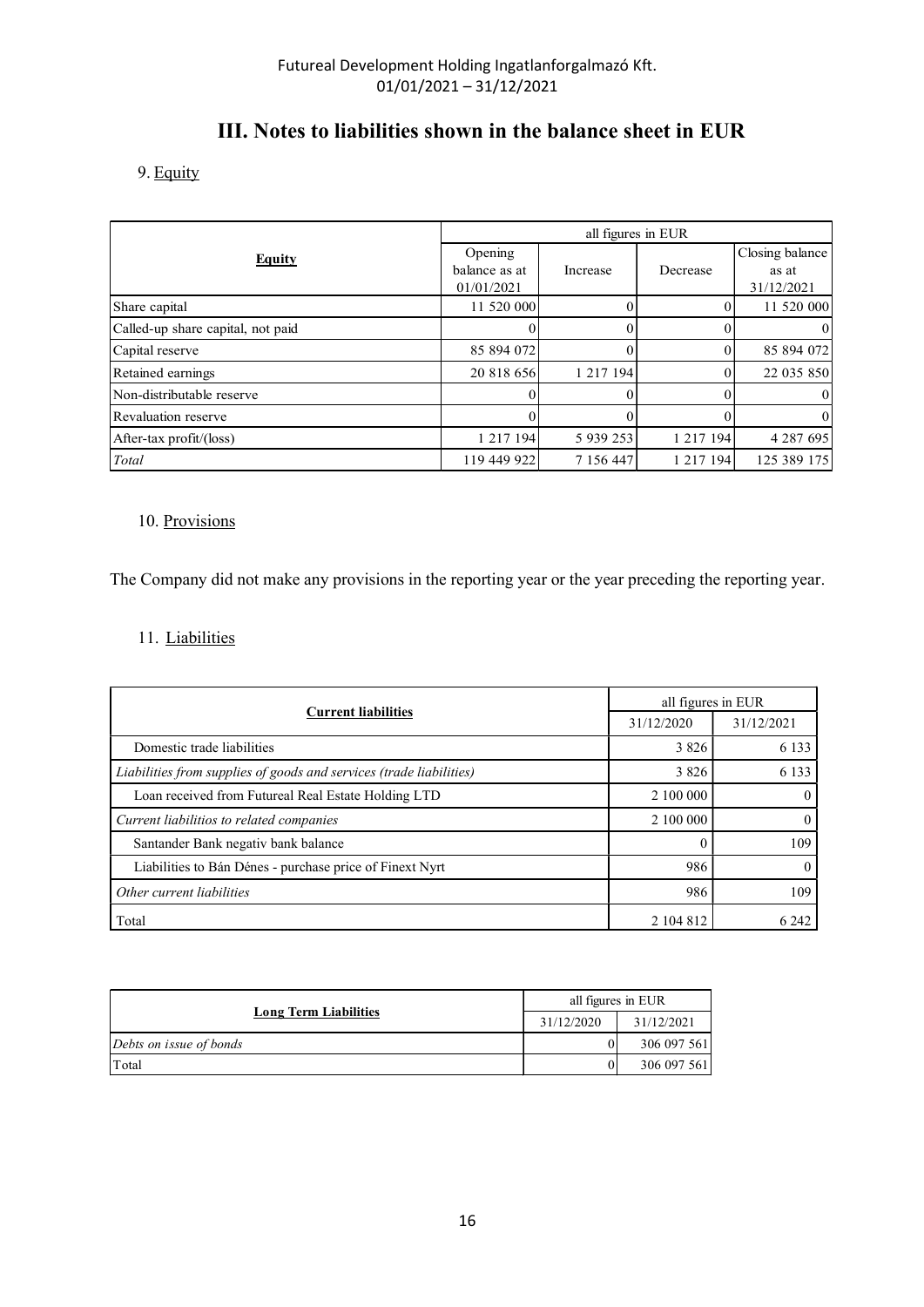# III. Notes to liabilities shown in the balance sheet in EUR

|                                                | Futureal Development Holding Ingatlanforgalmazó Kft.<br>$01/01/2021 - 31/12/2021$ |                    |                |                     |
|------------------------------------------------|-----------------------------------------------------------------------------------|--------------------|----------------|---------------------|
|                                                |                                                                                   |                    |                |                     |
|                                                | III. Notes to liabilities shown in the balance sheet in EUR                       |                    |                |                     |
|                                                |                                                                                   |                    |                |                     |
| 9. Equity                                      |                                                                                   |                    |                |                     |
|                                                |                                                                                   |                    |                |                     |
|                                                |                                                                                   | all figures in EUR |                |                     |
| <b>Equity</b>                                  | Opening                                                                           |                    |                | Closing balance     |
|                                                | balance as at<br>01/01/2021                                                       | Increase           | Decrease       | as at<br>31/12/2021 |
| Share capital                                  | 11 520 000                                                                        | $\overline{0}$     | $\overline{0}$ | 11 520 000          |
| Called-up share capital, not paid              | $\Omega$                                                                          | $\theta$           | $\Omega$       |                     |
|                                                | 85 894 072                                                                        | $\Omega$           | $\overline{0}$ | 85 894 072          |
| Capital reserve                                |                                                                                   |                    |                |                     |
| Retained earnings                              | 20 818 656                                                                        | 1 217 194          | $\Omega$       |                     |
| Non-distributable reserve                      | 0                                                                                 | 0                  | $\Omega$       | 22 035 850          |
|                                                | $\Omega$                                                                          | $\Omega$           | $\Omega$       |                     |
| Revaluation reserve<br>After-tax profit/(loss) | 1 217 194                                                                         | 5 939 253          | 1 217 194      | 4 287 695           |

## 10. Provisions

The Company did not make any provisions in the reporting year or the year preceding the reporting year.

## 11. Liabilities

| <b>Current liabilities</b>                                          |                  | all figures in EUR |                |
|---------------------------------------------------------------------|------------------|--------------------|----------------|
|                                                                     |                  | 31/12/2020         | 31/12/2021     |
| Domestic trade liabilities                                          |                  | 3 8 2 6            | 6 1 3 3        |
| Liabilities from supplies of goods and services (trade liabilities) |                  | 3 8 2 6            | 6 1 3 3        |
| Loan received from Futureal Real Estate Holding LTD                 |                  | 2 100 000          | $\overline{0}$ |
| Current liabilitios to related companies                            |                  | 2 100 000          | $\theta$       |
| Santander Bank negativ bank balance                                 |                  | $\theta$           | 109            |
| Liabilities to Bán Dénes - purchase price of Finext Nyrt            |                  | 986                | $\mathbf{0}$   |
| Other current liabilities                                           |                  | 986                | 109            |
| Total                                                               |                  | 2 104 812          | 6 2 4 2        |
|                                                                     |                  |                    |                |
|                                                                     |                  | all figures in EUR |                |
| <b>Long Term Liabilities</b>                                        | 31/12/2020       | 31/12/2021         |                |
| Debts on issue of bonds                                             | $\boldsymbol{0}$ | 306 097 561        |                |
| Total                                                               | $\mathbf{0}$     | 306 097 561        |                |

|                              | all figures in EUR |             |
|------------------------------|--------------------|-------------|
| <b>Long Term Liabilities</b> | 31/12/2020         | 31/12/2021  |
| Debts on issue of bonds      | 01                 | 306 097 561 |
| Total                        | $\overline{0}$     | 306 097 561 |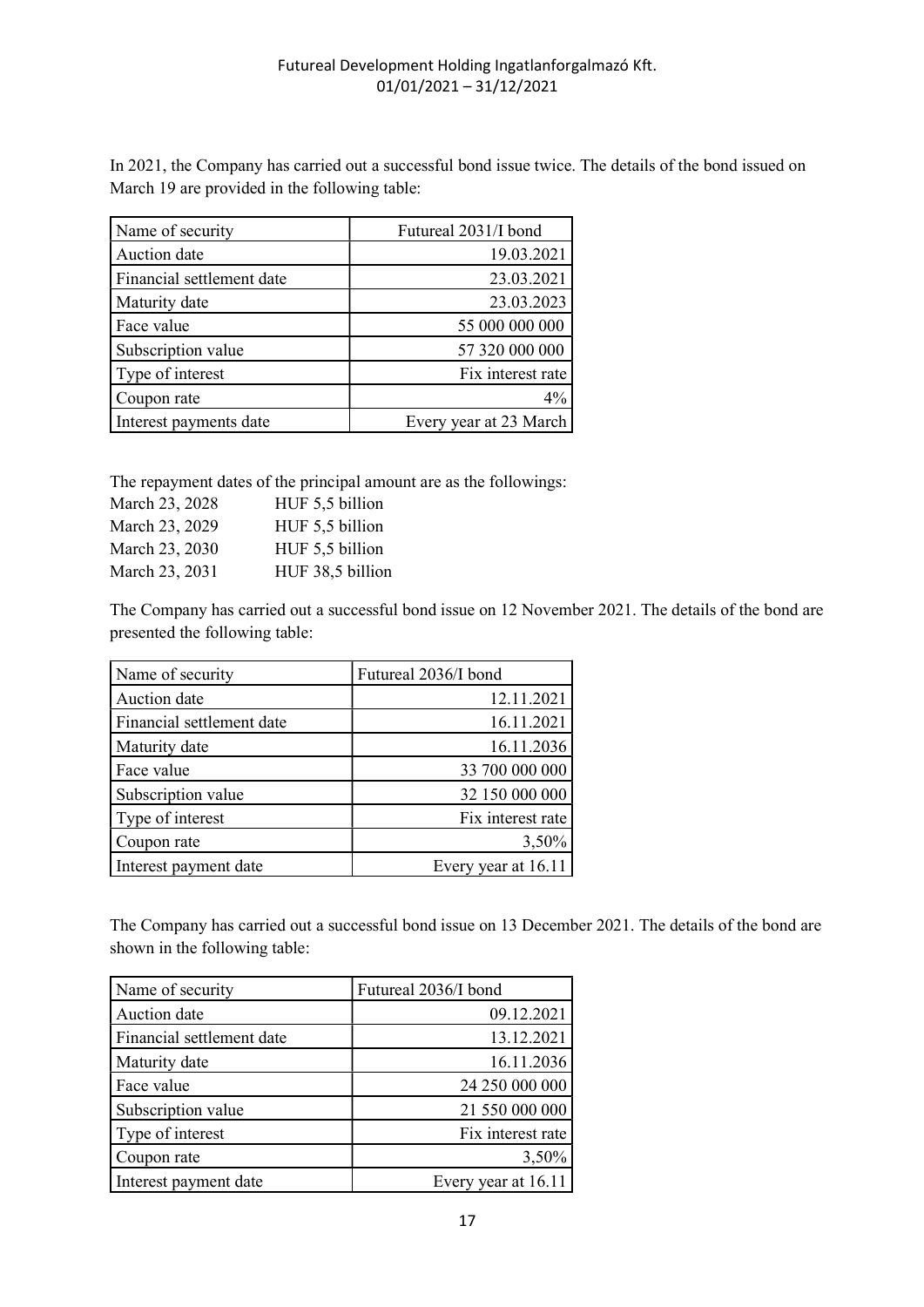In 2021, the Company has carried out a successful bond issue twice. The details of the bond issued on March 19 are provided in the following table:

| Name of security          | Futureal 2031/I bond   |
|---------------------------|------------------------|
| Auction date              | 19.03.2021             |
| Financial settlement date | 23.03.2021             |
| Maturity date             | 23.03.2023             |
| Face value                | 55 000 000 000         |
| Subscription value        | 57 320 000 000         |
| Type of interest          | Fix interest rate      |
| Coupon rate               | $4\%$                  |
| Interest payments date    | Every year at 23 March |

The repayment dates of the principal amount are as the followings:

| March 23, 2028 | HUF 5,5 billion  |
|----------------|------------------|
| March 23, 2029 | HUF 5,5 billion  |
| March 23, 2030 | HUF 5,5 billion  |
| March 23, 2031 | HUF 38,5 billion |

The Company has carried out a successful bond issue on 12 November 2021. The details of the bond are presented the following table:

| Name of security          | Futureal 2036/I bond |
|---------------------------|----------------------|
| Auction date              | 12.11.2021           |
| Financial settlement date | 16.11.2021           |
| Maturity date             | 16.11.2036           |
| Face value                | 33 700 000 000       |
| Subscription value        | 32 150 000 000       |
| Type of interest          | Fix interest rate    |
| Coupon rate               | 3,50%                |
| Interest payment date     | Every year at 16.11  |

The Company has carried out a successful bond issue on 13 December 2021. The details of the bond are shown in the following table:

| Name of security          | Futureal 2036/I bond |
|---------------------------|----------------------|
| Auction date              | 09.12.2021           |
| Financial settlement date | 13.12.2021           |
| Maturity date             | 16.11.2036           |
| Face value                | 24 250 000 000       |
| Subscription value        | 21 550 000 000       |
| Type of interest          | Fix interest rate    |
| Coupon rate               | 3,50%                |
| Interest payment date     | Every year at 16.11  |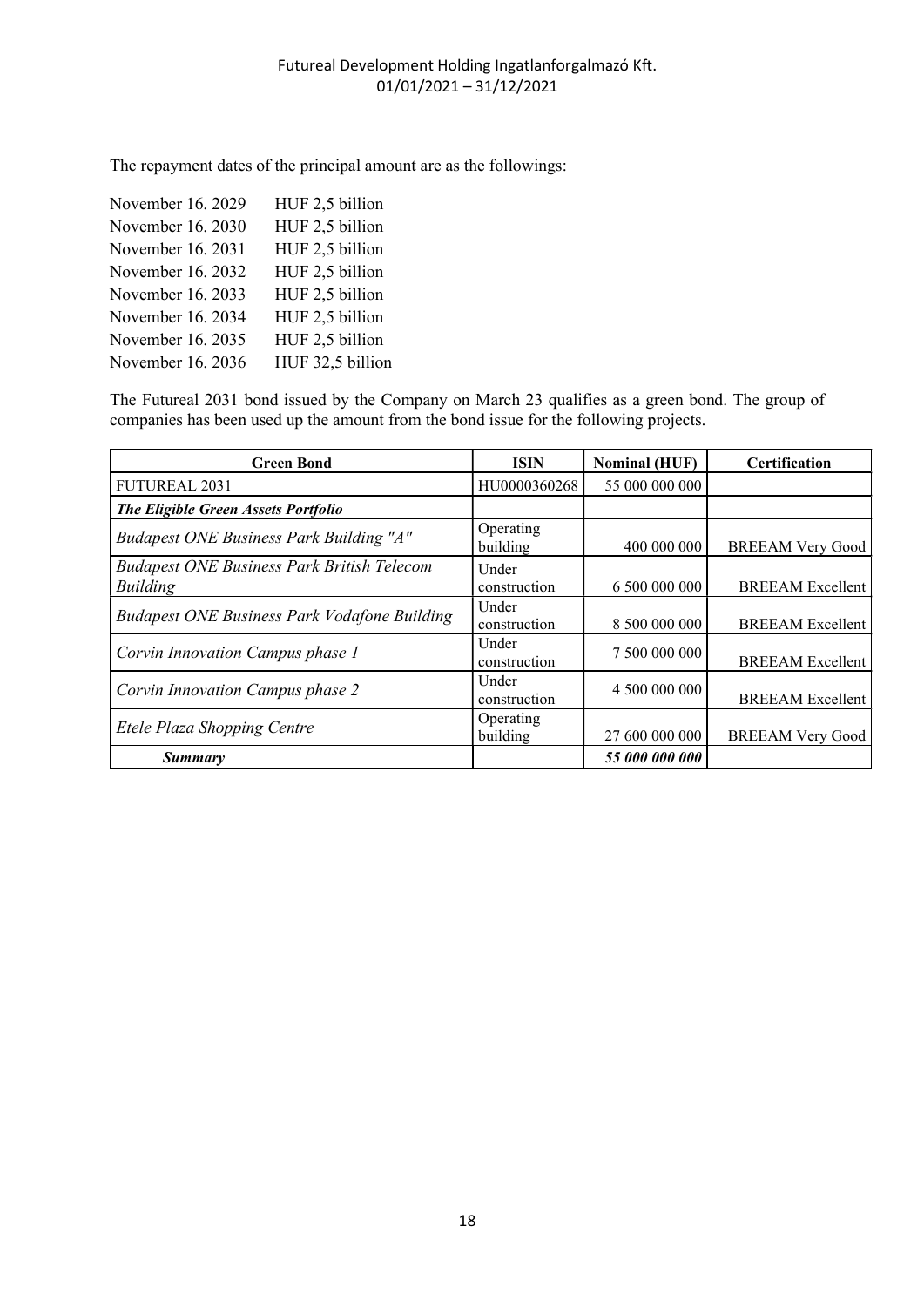The repayment dates of the principal amount are as the followings:

| November 16. 2029 | HUF 2,5 billion  |
|-------------------|------------------|
| November 16. 2030 | HUF 2,5 billion  |
| November 16, 2031 | HUF 2,5 billion  |
| November 16. 2032 | HUF 2,5 billion  |
| November 16. 2033 | HUF 2,5 billion  |
| November 16. 2034 | HUF 2,5 billion  |
| November 16. 2035 | HUF 2,5 billion  |
| November 16. 2036 | HUF 32,5 billion |

The Futureal 2031 bond issued by the Company on March 23 qualifies as a green bond. The group of companies has been used up the amount from the bond issue for the following projects.

| <b>Green Bond</b>                                                    | <b>ISIN</b>           | <b>Nominal (HUF)</b> | <b>Certification</b>    |
|----------------------------------------------------------------------|-----------------------|----------------------|-------------------------|
| <b>FUTUREAL 2031</b>                                                 | HU0000360268          | 55 000 000 000       |                         |
| The Eligible Green Assets Portfolio                                  |                       |                      |                         |
| <b>Budapest ONE Business Park Building "A"</b>                       | Operating<br>building | 400 000 000          | <b>BREEAM Very Good</b> |
| <b>Budapest ONE Business Park British Telecom</b><br><b>Building</b> | Under<br>construction | 6 500 000 000        | <b>BREEAM</b> Excellent |
| <b>Budapest ONE Business Park Vodafone Building</b>                  | Under<br>construction | 8 500 000 000        | <b>BREEAM</b> Excellent |
| Corvin Innovation Campus phase 1                                     | Under<br>construction | 7 500 000 000        | <b>BREEAM Excellent</b> |
| Corvin Innovation Campus phase 2                                     | Under<br>construction | 4 500 000 000        | <b>BREEAM Excellent</b> |
| Etele Plaza Shopping Centre                                          | Operating<br>building | 27 600 000 000       | <b>BREEAM Very Good</b> |
| Summary                                                              |                       | 55 000 000 000       |                         |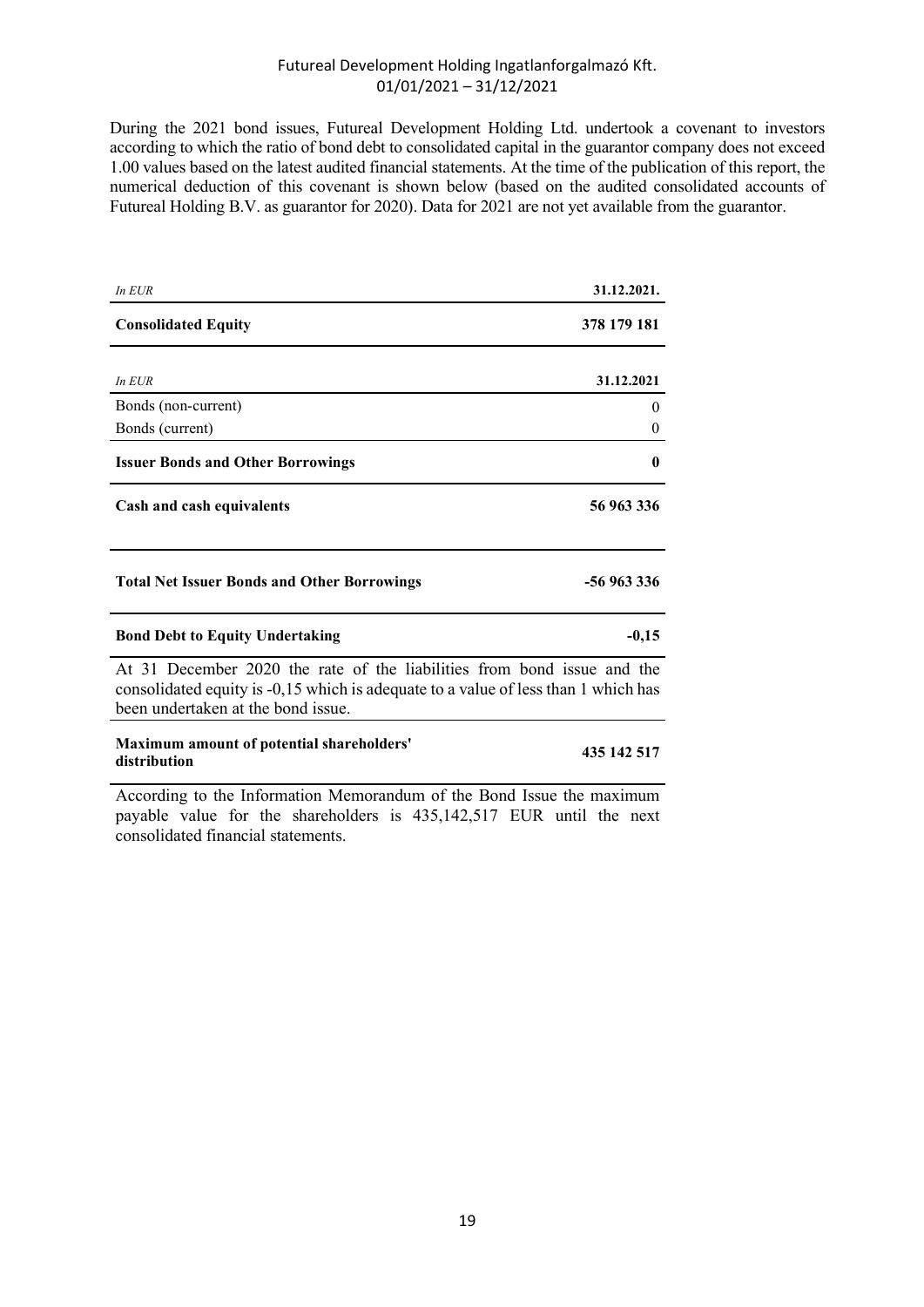During the 2021 bond issues, Futureal Development Holding Ltd. undertook a covenant to investors according to which the ratio of bond debt to consolidated capital in the guarantor company does not exceed 1.00 values based on the latest audited financial statements. At the time of the publication of this report, the numerical deduction of this covenant is shown below (based on the audited consolidated accounts of Futureal Holding B.V. as guarantor for 2020). Data for 2021 are not yet available from the guarantor.

| In $EUR$                                                                                                                                                                                            | 31.12.2021. |
|-----------------------------------------------------------------------------------------------------------------------------------------------------------------------------------------------------|-------------|
| <b>Consolidated Equity</b>                                                                                                                                                                          | 378 179 181 |
|                                                                                                                                                                                                     |             |
| In $EUR$                                                                                                                                                                                            | 31.12.2021  |
| Bonds (non-current)                                                                                                                                                                                 | 0           |
| Bonds (current)                                                                                                                                                                                     | $\theta$    |
| <b>Issuer Bonds and Other Borrowings</b>                                                                                                                                                            | $\bf{0}$    |
| Cash and cash equivalents                                                                                                                                                                           | 56 963 336  |
| <b>Total Net Issuer Bonds and Other Borrowings</b>                                                                                                                                                  | -56 963 336 |
| <b>Bond Debt to Equity Undertaking</b>                                                                                                                                                              | $-0,15$     |
| At 31 December 2020 the rate of the liabilities from bond issue and the<br>consolidated equity is -0,15 which is adequate to a value of less than 1 which has<br>been undertaken at the bond issue. |             |
| Maximum amount of potential shareholders'<br>distribution                                                                                                                                           | 435 142 517 |

According to the Information Memorandum of the Bond Issue the maximum payable value for the shareholders is 435,142,517 EUR until the next consolidated financial statements.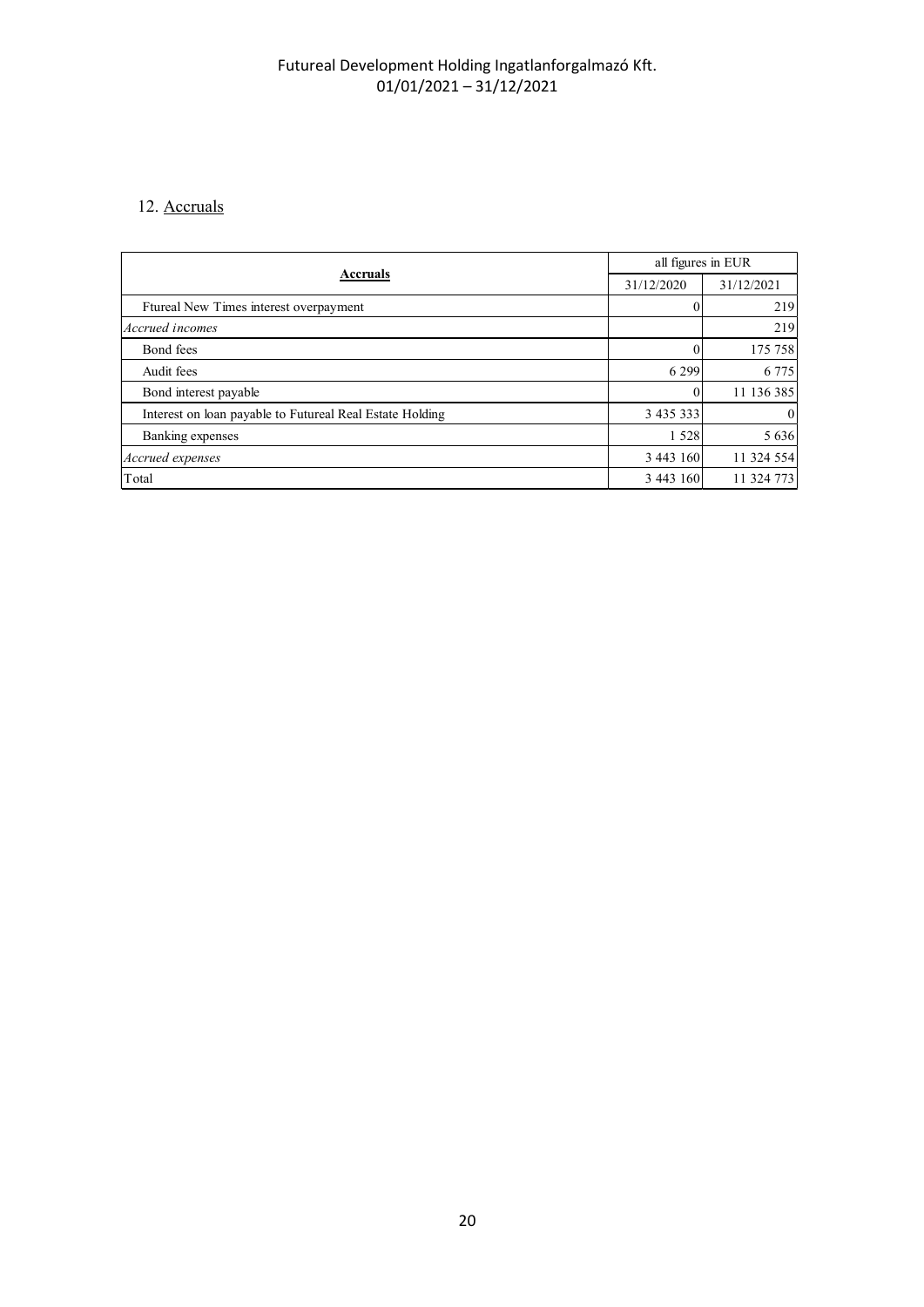## 12. Accruals

| 12. Accruals                                             |                                       |            |
|----------------------------------------------------------|---------------------------------------|------------|
|                                                          | all figures in EUR<br><b>Accruals</b> |            |
|                                                          | 31/12/2020                            | 31/12/2021 |
| Ftureal New Times interest overpayment                   | $\boldsymbol{0}$                      | 219        |
|                                                          |                                       | 219        |
| Accrued incomes                                          |                                       |            |
| Bond fees                                                | $\mathbf{0}$                          | 175 758    |
| Audit fees                                               | 6 2 9 9                               | 6 7 7 5    |
| Bond interest payable                                    | $\boldsymbol{0}$                      | 11 136 385 |
| Interest on loan payable to Futureal Real Estate Holding |                                       | $\Omega$   |
| Banking expenses                                         | 1 5 2 8                               | 5 6 3 6    |
| Accrued expenses                                         | 3 4 4 3 1 6 0                         | 11 324 554 |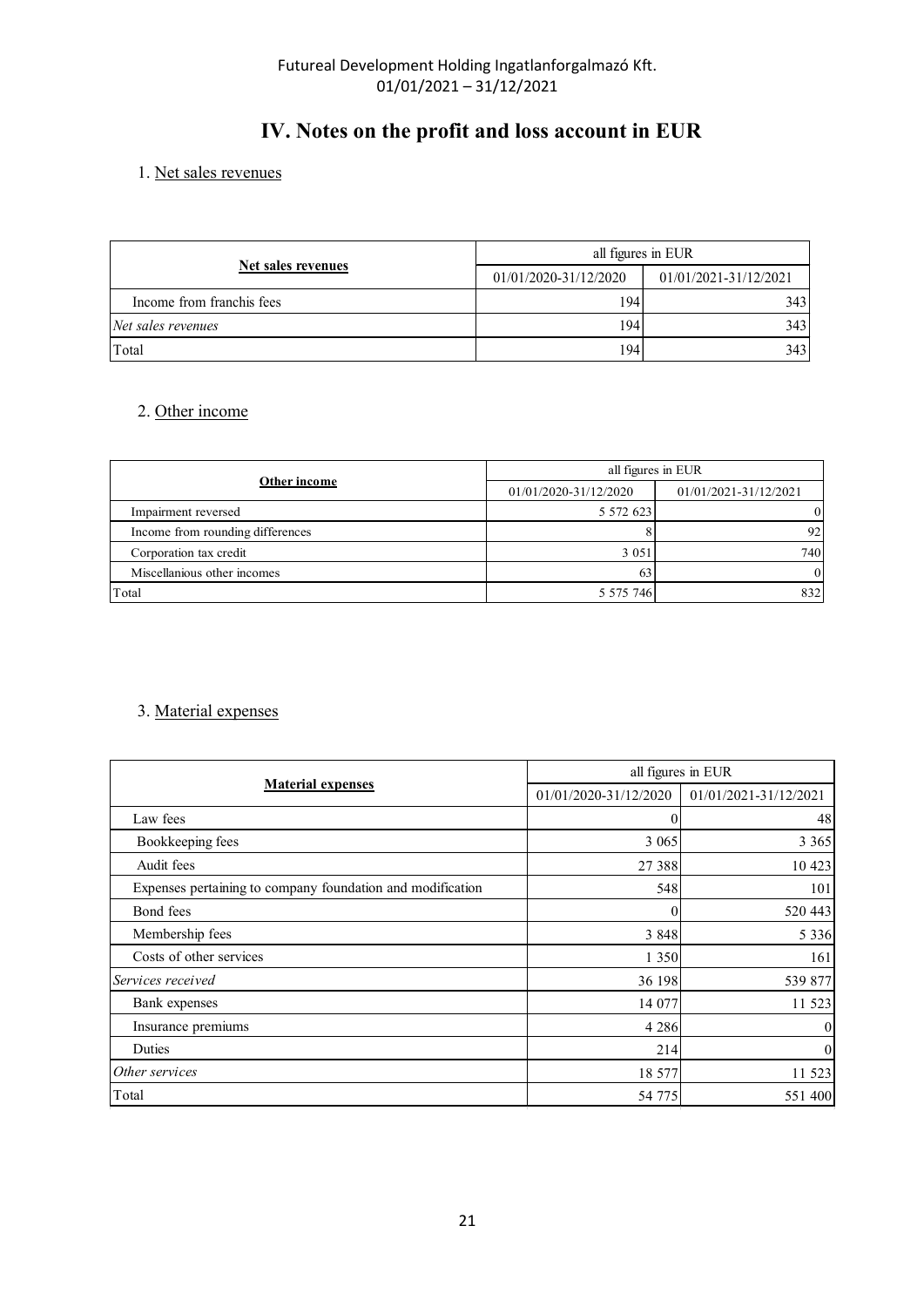# IV. Notes on the profit and loss account in EUR

## 1. Net sales revenues

|                           | Futureal Development Holding Ingatlanforgalmazó Kft. |                       |
|---------------------------|------------------------------------------------------|-----------------------|
|                           | $01/01/2021 - 31/12/2021$                            |                       |
|                           |                                                      |                       |
|                           |                                                      |                       |
|                           | IV. Notes on the profit and loss account in EUR      |                       |
|                           |                                                      |                       |
| 1. Net sales revenues     |                                                      |                       |
|                           |                                                      |                       |
|                           |                                                      |                       |
| <b>Net sales revenues</b> |                                                      | all figures in EUR    |
| Income from franchis fees | 01/01/2020-31/12/2020<br>194                         | 01/01/2021-31/12/2021 |
| Net sales revenues        | 194                                                  | 343<br>343            |

## 2. Other income

| $U_1 U_2 U_2 U_1 - 31 / 12 / 2021$                         |                                                 |                                   |
|------------------------------------------------------------|-------------------------------------------------|-----------------------------------|
|                                                            | IV. Notes on the profit and loss account in EUR |                                   |
| 1. Net sales revenues                                      |                                                 |                                   |
|                                                            |                                                 |                                   |
|                                                            | all figures in EUR                              |                                   |
| <b>Net sales revenues</b>                                  | 01/01/2020-31/12/2020                           | 01/01/2021-31/12/2021             |
|                                                            |                                                 | 343                               |
|                                                            |                                                 |                                   |
| Income from franchis fees                                  | 194                                             |                                   |
| Net sales revenues<br>Total<br>2. Other income             | 194<br>194                                      | 343<br>343                        |
|                                                            |                                                 |                                   |
| Other income                                               |                                                 | all figures in EUR                |
|                                                            | 01/01/2020-31/12/2020                           | 01/01/2021-31/12/2021<br>$\Omega$ |
| Impairment reversed                                        | 5 572 623                                       | 92<br>8                           |
| Income from rounding differences<br>Corporation tax credit | 3 0 5 1                                         | 740                               |
| Miscellanious other incomes                                | 63                                              | $\overline{0}$                    |

## 3. Material expenses

|                                                            |                       | all figures in EUR                                                   |  |  |  |
|------------------------------------------------------------|-----------------------|----------------------------------------------------------------------|--|--|--|
| Other income                                               | 01/01/2020-31/12/2020 | 01/01/2021-31/12/2021                                                |  |  |  |
| Impairment reversed                                        | 5 572 623             | $\theta$                                                             |  |  |  |
| Income from rounding differences                           | $\vert 8 \vert$       | 92                                                                   |  |  |  |
| Corporation tax credit                                     | 3 0 5 1               | 740                                                                  |  |  |  |
| Miscellanious other incomes                                | 63                    | $\mathbf{0}$                                                         |  |  |  |
| Total                                                      | 5 5 7 5 7 4 6         | 832                                                                  |  |  |  |
| 3. Material expenses                                       |                       |                                                                      |  |  |  |
| <b>Material expenses</b>                                   |                       | all figures in EUR<br>01/01/2020-31/12/2020<br>01/01/2021-31/12/2021 |  |  |  |
| Law fees                                                   | $\boldsymbol{0}$      | 48                                                                   |  |  |  |
| Bookkeeping fees                                           | 3 0 6 5               | 3 3 6 5                                                              |  |  |  |
| Audit fees                                                 | 27 388                | 10 423                                                               |  |  |  |
| Expenses pertaining to company foundation and modification | 548                   | 101                                                                  |  |  |  |
|                                                            | $\boldsymbol{0}$      | 520 443                                                              |  |  |  |
| Bond fees                                                  |                       | 5 3 3 6                                                              |  |  |  |
| Membership fees                                            | 3 8 4 8               |                                                                      |  |  |  |
| Costs of other services                                    | 1 3 5 0               | 161                                                                  |  |  |  |
| Services received                                          | 36 198                | 539 877                                                              |  |  |  |
| Bank expenses                                              | 14 077                | 11 523                                                               |  |  |  |
| Insurance premiums                                         | 4 2 8 6               | $\Omega$                                                             |  |  |  |
| Duties                                                     | 214                   | $\Omega$                                                             |  |  |  |
| Other services                                             | 18 577                | 11 523                                                               |  |  |  |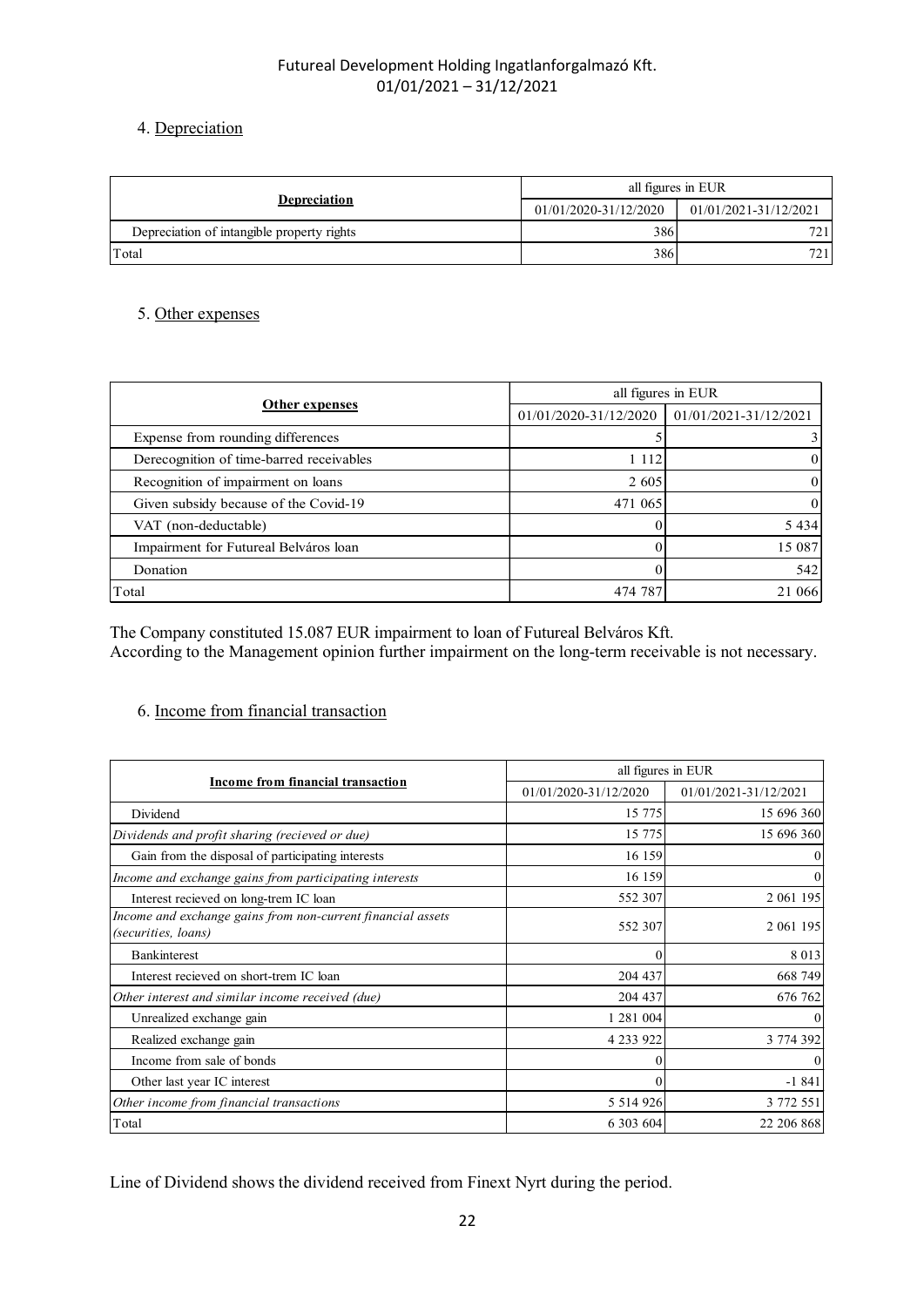## 4. Depreciation

| Futureal Development Holding Ingatlanforgalmazó Kft. |                       |                                |
|------------------------------------------------------|-----------------------|--------------------------------|
| $01/01/2021 - 31/12/2021$                            |                       |                                |
| 4. Depreciation                                      |                       |                                |
|                                                      |                       |                                |
|                                                      |                       |                                |
|                                                      | all figures in EUR    |                                |
| <b>Depreciation</b>                                  | 01/01/2020-31/12/2020 | $01/01/2021\mbox{-}31/12/2021$ |
| Depreciation of intangible property rights           | 386                   | 721                            |
| Total                                                | 386                   | 721                            |
|                                                      |                       |                                |
| 5. Other expenses                                    |                       |                                |

## 5. Other expenses

# 6. Income from financial transaction

| Expense from rounding differences                                                                                                            | 5 <sup>1</sup>        | $\overline{3}$        |
|----------------------------------------------------------------------------------------------------------------------------------------------|-----------------------|-----------------------|
| Derecognition of time-barred receivables                                                                                                     | 1 1 1 2               | $\Omega$              |
| Recognition of impairment on loans                                                                                                           | 2 605                 | $\Omega$              |
| Given subsidy because of the Covid-19                                                                                                        | 471 065               | $\Omega$              |
| VAT (non-deductable)                                                                                                                         | $\Omega$              | 5 4 3 4               |
| Impairment for Futureal Belváros loan                                                                                                        | $\Omega$              | 15 087                |
| Donation                                                                                                                                     | $\Omega$              | 542                   |
| Total                                                                                                                                        | 474 787               | 21 066                |
| According to the Management opinion further impairment on the long-term receivable is not necessary.<br>6. Income from financial transaction |                       |                       |
|                                                                                                                                              | all figures in EUR    |                       |
| Income from financial transaction                                                                                                            | 01/01/2020-31/12/2020 | 01/01/2021-31/12/2021 |
| Dividend                                                                                                                                     | 15 775                | 15 696 360            |
| Dividends and profit sharing (recieved or due)                                                                                               | 15 775                | 15 696 360            |
| Gain from the disposal of participating interests                                                                                            | 16 159                |                       |
| Income and exchange gains from participating interests                                                                                       | 16 159                |                       |
| Interest recieved on long-trem IC loan                                                                                                       | 552 307               | 2 061 195             |
| Income and exchange gains from non-current financial assets<br>(securities, loans)                                                           | 552 307               | 2 061 195             |
| Bankinterest                                                                                                                                 |                       | 8 0 1 3               |
| Interest recieved on short-trem IC loan                                                                                                      | 204 437               | 668 749               |
| Other interest and similar income received (due)                                                                                             | 204 437               | 676 762               |
|                                                                                                                                              |                       |                       |
| Unrealized exchange gain                                                                                                                     | 1 281 004             |                       |
| Realized exchange gain                                                                                                                       | 4 233 922             | 3 774 392             |
| Income from sale of bonds                                                                                                                    |                       |                       |
| Other last year IC interest                                                                                                                  |                       | $-1841$               |
| Other income from financial transactions                                                                                                     | 5 5 1 4 9 2 6         | 3 772 551             |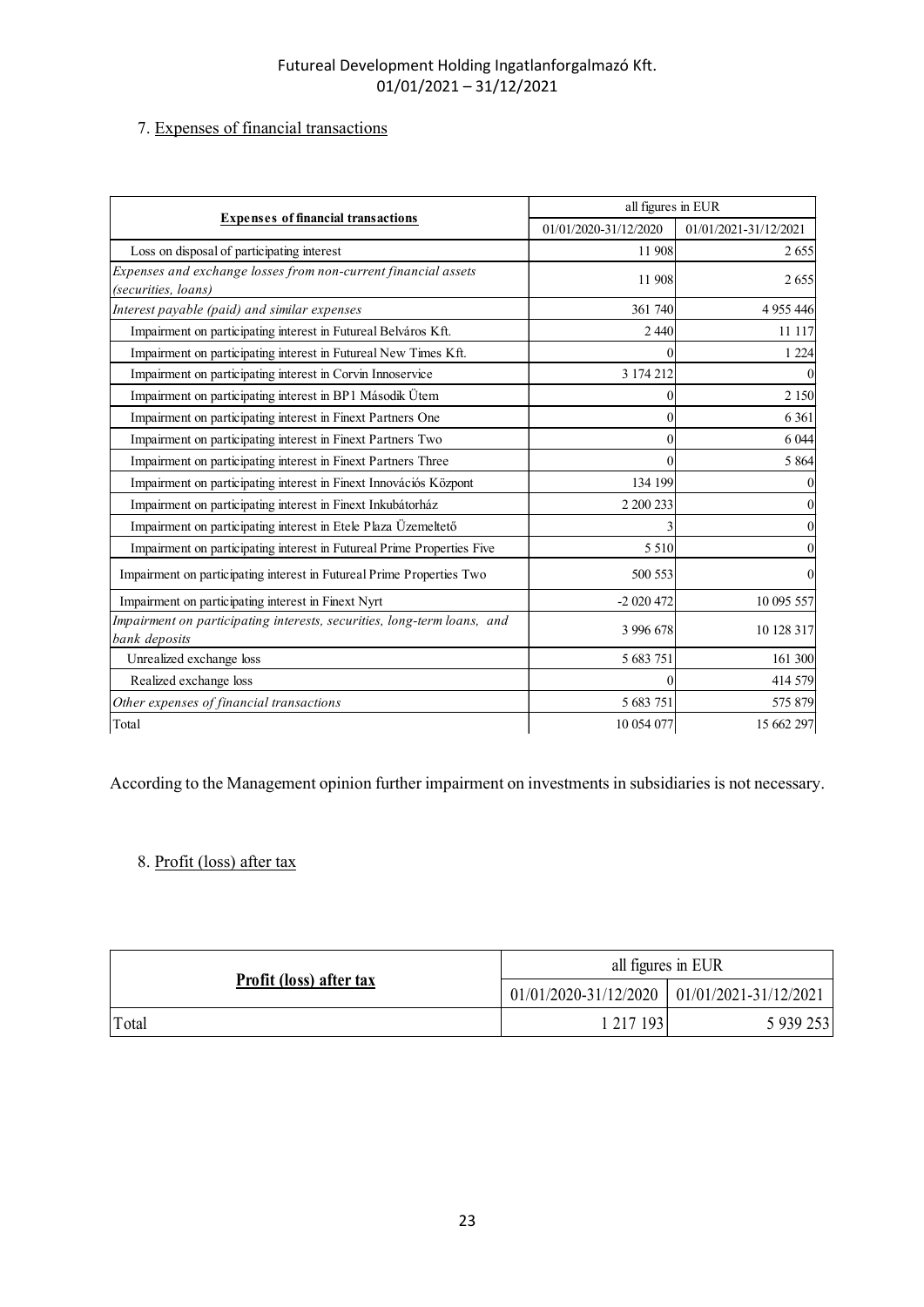## 7. Expenses of financial transactions

| Futureal Development Holding Ingatlanforgalmazó Kft.<br>$01/01/2021 - 31/12/2021$<br>7. Expenses of financial transactions<br>all figures in EUR<br><b>Expenses of financial transactions</b><br>01/01/2020-31/12/2020<br>01/01/2021-31/12/2021<br>Loss on disposal of participating interest<br>11 908<br>2655<br>11 908<br>2 6 5 5<br>361 740<br>4 9 5 4 4 4 4 5<br>Impairment on participating interest in Futureal Belváros Kft.<br>2 4 4 0<br>11 117<br>Impairment on participating interest in Futureal New Times Kft.<br>1 2 2 4<br>Impairment on participating interest in Corvin Innoservice<br>3 174 212<br>Impairment on participating interest in BP1 Második Ütem<br>2 1 5 0<br>Impairment on participating interest in Finext Partners One<br>6 3 6 1<br>Impairment on participating interest in Finext Partners Two<br>6 0 4 4<br>Impairment on participating interest in Finext Partners Three<br>5 8 6 4<br>Impairment on participating interest in Finext Innovációs Központ<br>134 199<br>Impairment on participating interest in Finext Inkubátorház<br>2 200 233<br>Impairment on participating interest in Etele Plaza Üzemeltető<br>$\mathfrak{z}$<br>Impairment on participating interest in Futureal Prime Properties Five<br>5 5 1 0<br>Impairment on participating interest in Futureal Prime Properties Two<br>500 553<br>Impairment on participating interest in Finext Nyrt<br>10 095 557<br>$-2020472$<br>3 996 678<br>10 128 317<br>Unrealized exchange loss<br>5 683 751<br>161 300<br>Realized exchange loss<br>414 579<br>5 683 751<br>575 879<br>10 054 077<br>15 662 297 |                                                                |  |
|---------------------------------------------------------------------------------------------------------------------------------------------------------------------------------------------------------------------------------------------------------------------------------------------------------------------------------------------------------------------------------------------------------------------------------------------------------------------------------------------------------------------------------------------------------------------------------------------------------------------------------------------------------------------------------------------------------------------------------------------------------------------------------------------------------------------------------------------------------------------------------------------------------------------------------------------------------------------------------------------------------------------------------------------------------------------------------------------------------------------------------------------------------------------------------------------------------------------------------------------------------------------------------------------------------------------------------------------------------------------------------------------------------------------------------------------------------------------------------------------------------------------------------------------------------------------------------------------------------------|----------------------------------------------------------------|--|
| Interest payable (paid) and similar expenses<br>Impairment on participating interests, securities, long-term loans, and<br>bank deposits<br>Other expenses of financial transactions                                                                                                                                                                                                                                                                                                                                                                                                                                                                                                                                                                                                                                                                                                                                                                                                                                                                                                                                                                                                                                                                                                                                                                                                                                                                                                                                                                                                                          |                                                                |  |
|                                                                                                                                                                                                                                                                                                                                                                                                                                                                                                                                                                                                                                                                                                                                                                                                                                                                                                                                                                                                                                                                                                                                                                                                                                                                                                                                                                                                                                                                                                                                                                                                               |                                                                |  |
|                                                                                                                                                                                                                                                                                                                                                                                                                                                                                                                                                                                                                                                                                                                                                                                                                                                                                                                                                                                                                                                                                                                                                                                                                                                                                                                                                                                                                                                                                                                                                                                                               |                                                                |  |
|                                                                                                                                                                                                                                                                                                                                                                                                                                                                                                                                                                                                                                                                                                                                                                                                                                                                                                                                                                                                                                                                                                                                                                                                                                                                                                                                                                                                                                                                                                                                                                                                               |                                                                |  |
|                                                                                                                                                                                                                                                                                                                                                                                                                                                                                                                                                                                                                                                                                                                                                                                                                                                                                                                                                                                                                                                                                                                                                                                                                                                                                                                                                                                                                                                                                                                                                                                                               |                                                                |  |
|                                                                                                                                                                                                                                                                                                                                                                                                                                                                                                                                                                                                                                                                                                                                                                                                                                                                                                                                                                                                                                                                                                                                                                                                                                                                                                                                                                                                                                                                                                                                                                                                               |                                                                |  |
|                                                                                                                                                                                                                                                                                                                                                                                                                                                                                                                                                                                                                                                                                                                                                                                                                                                                                                                                                                                                                                                                                                                                                                                                                                                                                                                                                                                                                                                                                                                                                                                                               |                                                                |  |
|                                                                                                                                                                                                                                                                                                                                                                                                                                                                                                                                                                                                                                                                                                                                                                                                                                                                                                                                                                                                                                                                                                                                                                                                                                                                                                                                                                                                                                                                                                                                                                                                               |                                                                |  |
|                                                                                                                                                                                                                                                                                                                                                                                                                                                                                                                                                                                                                                                                                                                                                                                                                                                                                                                                                                                                                                                                                                                                                                                                                                                                                                                                                                                                                                                                                                                                                                                                               |                                                                |  |
|                                                                                                                                                                                                                                                                                                                                                                                                                                                                                                                                                                                                                                                                                                                                                                                                                                                                                                                                                                                                                                                                                                                                                                                                                                                                                                                                                                                                                                                                                                                                                                                                               |                                                                |  |
|                                                                                                                                                                                                                                                                                                                                                                                                                                                                                                                                                                                                                                                                                                                                                                                                                                                                                                                                                                                                                                                                                                                                                                                                                                                                                                                                                                                                                                                                                                                                                                                                               |                                                                |  |
|                                                                                                                                                                                                                                                                                                                                                                                                                                                                                                                                                                                                                                                                                                                                                                                                                                                                                                                                                                                                                                                                                                                                                                                                                                                                                                                                                                                                                                                                                                                                                                                                               | Expenses and exchange losses from non-current financial assets |  |
|                                                                                                                                                                                                                                                                                                                                                                                                                                                                                                                                                                                                                                                                                                                                                                                                                                                                                                                                                                                                                                                                                                                                                                                                                                                                                                                                                                                                                                                                                                                                                                                                               | (securities, loans)                                            |  |
|                                                                                                                                                                                                                                                                                                                                                                                                                                                                                                                                                                                                                                                                                                                                                                                                                                                                                                                                                                                                                                                                                                                                                                                                                                                                                                                                                                                                                                                                                                                                                                                                               |                                                                |  |
|                                                                                                                                                                                                                                                                                                                                                                                                                                                                                                                                                                                                                                                                                                                                                                                                                                                                                                                                                                                                                                                                                                                                                                                                                                                                                                                                                                                                                                                                                                                                                                                                               |                                                                |  |
|                                                                                                                                                                                                                                                                                                                                                                                                                                                                                                                                                                                                                                                                                                                                                                                                                                                                                                                                                                                                                                                                                                                                                                                                                                                                                                                                                                                                                                                                                                                                                                                                               |                                                                |  |
|                                                                                                                                                                                                                                                                                                                                                                                                                                                                                                                                                                                                                                                                                                                                                                                                                                                                                                                                                                                                                                                                                                                                                                                                                                                                                                                                                                                                                                                                                                                                                                                                               |                                                                |  |
|                                                                                                                                                                                                                                                                                                                                                                                                                                                                                                                                                                                                                                                                                                                                                                                                                                                                                                                                                                                                                                                                                                                                                                                                                                                                                                                                                                                                                                                                                                                                                                                                               |                                                                |  |
|                                                                                                                                                                                                                                                                                                                                                                                                                                                                                                                                                                                                                                                                                                                                                                                                                                                                                                                                                                                                                                                                                                                                                                                                                                                                                                                                                                                                                                                                                                                                                                                                               |                                                                |  |
|                                                                                                                                                                                                                                                                                                                                                                                                                                                                                                                                                                                                                                                                                                                                                                                                                                                                                                                                                                                                                                                                                                                                                                                                                                                                                                                                                                                                                                                                                                                                                                                                               |                                                                |  |
|                                                                                                                                                                                                                                                                                                                                                                                                                                                                                                                                                                                                                                                                                                                                                                                                                                                                                                                                                                                                                                                                                                                                                                                                                                                                                                                                                                                                                                                                                                                                                                                                               |                                                                |  |
|                                                                                                                                                                                                                                                                                                                                                                                                                                                                                                                                                                                                                                                                                                                                                                                                                                                                                                                                                                                                                                                                                                                                                                                                                                                                                                                                                                                                                                                                                                                                                                                                               |                                                                |  |
|                                                                                                                                                                                                                                                                                                                                                                                                                                                                                                                                                                                                                                                                                                                                                                                                                                                                                                                                                                                                                                                                                                                                                                                                                                                                                                                                                                                                                                                                                                                                                                                                               |                                                                |  |
|                                                                                                                                                                                                                                                                                                                                                                                                                                                                                                                                                                                                                                                                                                                                                                                                                                                                                                                                                                                                                                                                                                                                                                                                                                                                                                                                                                                                                                                                                                                                                                                                               |                                                                |  |
|                                                                                                                                                                                                                                                                                                                                                                                                                                                                                                                                                                                                                                                                                                                                                                                                                                                                                                                                                                                                                                                                                                                                                                                                                                                                                                                                                                                                                                                                                                                                                                                                               |                                                                |  |
|                                                                                                                                                                                                                                                                                                                                                                                                                                                                                                                                                                                                                                                                                                                                                                                                                                                                                                                                                                                                                                                                                                                                                                                                                                                                                                                                                                                                                                                                                                                                                                                                               |                                                                |  |
|                                                                                                                                                                                                                                                                                                                                                                                                                                                                                                                                                                                                                                                                                                                                                                                                                                                                                                                                                                                                                                                                                                                                                                                                                                                                                                                                                                                                                                                                                                                                                                                                               |                                                                |  |
|                                                                                                                                                                                                                                                                                                                                                                                                                                                                                                                                                                                                                                                                                                                                                                                                                                                                                                                                                                                                                                                                                                                                                                                                                                                                                                                                                                                                                                                                                                                                                                                                               |                                                                |  |
|                                                                                                                                                                                                                                                                                                                                                                                                                                                                                                                                                                                                                                                                                                                                                                                                                                                                                                                                                                                                                                                                                                                                                                                                                                                                                                                                                                                                                                                                                                                                                                                                               |                                                                |  |
|                                                                                                                                                                                                                                                                                                                                                                                                                                                                                                                                                                                                                                                                                                                                                                                                                                                                                                                                                                                                                                                                                                                                                                                                                                                                                                                                                                                                                                                                                                                                                                                                               |                                                                |  |
|                                                                                                                                                                                                                                                                                                                                                                                                                                                                                                                                                                                                                                                                                                                                                                                                                                                                                                                                                                                                                                                                                                                                                                                                                                                                                                                                                                                                                                                                                                                                                                                                               | Total                                                          |  |
|                                                                                                                                                                                                                                                                                                                                                                                                                                                                                                                                                                                                                                                                                                                                                                                                                                                                                                                                                                                                                                                                                                                                                                                                                                                                                                                                                                                                                                                                                                                                                                                                               |                                                                |  |
|                                                                                                                                                                                                                                                                                                                                                                                                                                                                                                                                                                                                                                                                                                                                                                                                                                                                                                                                                                                                                                                                                                                                                                                                                                                                                                                                                                                                                                                                                                                                                                                                               |                                                                |  |
| According to the Management opinion further impairment on investments in subsidiaries is not necessary.                                                                                                                                                                                                                                                                                                                                                                                                                                                                                                                                                                                                                                                                                                                                                                                                                                                                                                                                                                                                                                                                                                                                                                                                                                                                                                                                                                                                                                                                                                       |                                                                |  |
|                                                                                                                                                                                                                                                                                                                                                                                                                                                                                                                                                                                                                                                                                                                                                                                                                                                                                                                                                                                                                                                                                                                                                                                                                                                                                                                                                                                                                                                                                                                                                                                                               |                                                                |  |
|                                                                                                                                                                                                                                                                                                                                                                                                                                                                                                                                                                                                                                                                                                                                                                                                                                                                                                                                                                                                                                                                                                                                                                                                                                                                                                                                                                                                                                                                                                                                                                                                               | 8. Profit (loss) after tax                                     |  |
|                                                                                                                                                                                                                                                                                                                                                                                                                                                                                                                                                                                                                                                                                                                                                                                                                                                                                                                                                                                                                                                                                                                                                                                                                                                                                                                                                                                                                                                                                                                                                                                                               |                                                                |  |
|                                                                                                                                                                                                                                                                                                                                                                                                                                                                                                                                                                                                                                                                                                                                                                                                                                                                                                                                                                                                                                                                                                                                                                                                                                                                                                                                                                                                                                                                                                                                                                                                               |                                                                |  |
|                                                                                                                                                                                                                                                                                                                                                                                                                                                                                                                                                                                                                                                                                                                                                                                                                                                                                                                                                                                                                                                                                                                                                                                                                                                                                                                                                                                                                                                                                                                                                                                                               |                                                                |  |
|                                                                                                                                                                                                                                                                                                                                                                                                                                                                                                                                                                                                                                                                                                                                                                                                                                                                                                                                                                                                                                                                                                                                                                                                                                                                                                                                                                                                                                                                                                                                                                                                               |                                                                |  |
|                                                                                                                                                                                                                                                                                                                                                                                                                                                                                                                                                                                                                                                                                                                                                                                                                                                                                                                                                                                                                                                                                                                                                                                                                                                                                                                                                                                                                                                                                                                                                                                                               | Profit (loss) after tax                                        |  |
| all figures in EUR                                                                                                                                                                                                                                                                                                                                                                                                                                                                                                                                                                                                                                                                                                                                                                                                                                                                                                                                                                                                                                                                                                                                                                                                                                                                                                                                                                                                                                                                                                                                                                                            |                                                                |  |
| 01/01/2020-31/12/2020<br>01/01/2021-31/12/2021                                                                                                                                                                                                                                                                                                                                                                                                                                                                                                                                                                                                                                                                                                                                                                                                                                                                                                                                                                                                                                                                                                                                                                                                                                                                                                                                                                                                                                                                                                                                                                |                                                                |  |

## 8. Profit (loss) after tax

|                                | all figures in EUR     |                       |  |
|--------------------------------|------------------------|-----------------------|--|
| <b>Profit (loss) after tax</b> | 01/01/2020-31/12/2020  | 01/01/2021-31/12/2021 |  |
| Total                          | 193<br>217<br>$\sim$ 1 | 5 939 253             |  |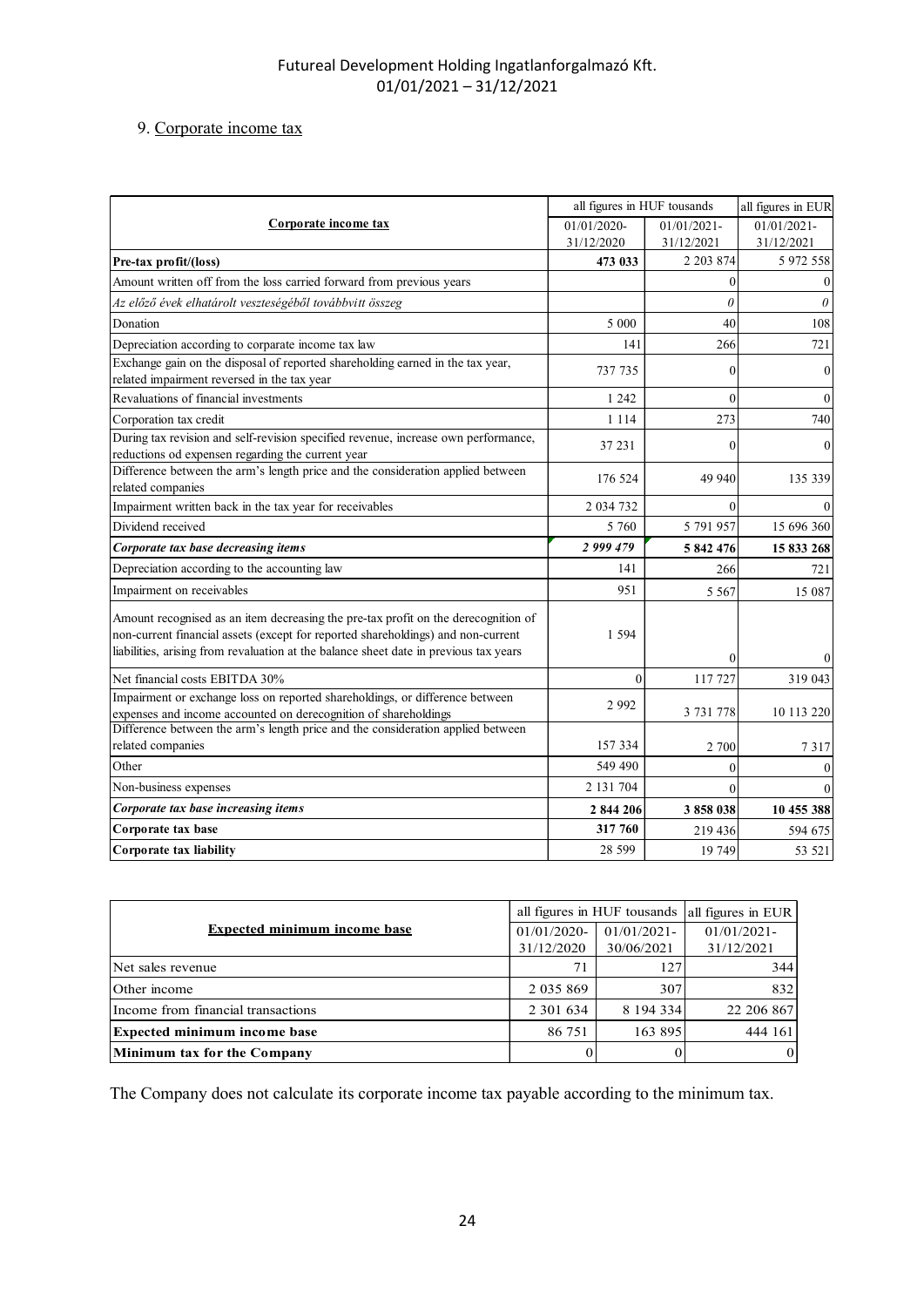## 9. Corporate income tax

| Futureal Development Holding Ingatlanforgalmazó Kft.                                                                                                                      |                             |                             |                              |                           |
|---------------------------------------------------------------------------------------------------------------------------------------------------------------------------|-----------------------------|-----------------------------|------------------------------|---------------------------|
| $01/01/2021 - 31/12/2021$                                                                                                                                                 |                             |                             |                              |                           |
|                                                                                                                                                                           |                             |                             |                              |                           |
| 9. Corporate income tax                                                                                                                                                   |                             |                             |                              |                           |
|                                                                                                                                                                           |                             |                             |                              |                           |
|                                                                                                                                                                           |                             |                             |                              |                           |
|                                                                                                                                                                           |                             | all figures in HUF tousands |                              | all figures in EUR        |
| Corporate income tax                                                                                                                                                      |                             | 01/01/2020-<br>31/12/2020   | $01/01/2021$ -<br>31/12/2021 | 01/01/2021-<br>31/12/2021 |
| Pre-tax profit/(loss)                                                                                                                                                     |                             | 473 033                     | 2 2 0 3 8 7 4                | 5 972 558                 |
| Amount written off from the loss carried forward from previous years                                                                                                      |                             |                             | $\Omega$                     |                           |
| Az előző évek elhatárolt veszteségéből továbbvitt összeg                                                                                                                  |                             |                             | $\theta$                     |                           |
| Donation                                                                                                                                                                  |                             | 5 0 0 0                     | 40                           | 108                       |
| Depreciation according to corparate income tax law                                                                                                                        |                             | 141                         | 266                          | 721                       |
| Exchange gain on the disposal of reported shareholding earned in the tax year,<br>related impairment reversed in the tax year                                             |                             | 737 735                     | $\Omega$                     |                           |
| Revaluations of financial investments                                                                                                                                     |                             | 1 2 4 2                     | $\Omega$                     |                           |
| Corporation tax credit                                                                                                                                                    |                             | 1 1 1 4                     | 273                          | 740                       |
| During tax revision and self-revision specified revenue, increase own performance,                                                                                        |                             | 37 231                      | $\Omega$                     |                           |
| reductions od expensen regarding the current year<br>Difference between the arm's length price and the consideration applied between                                      |                             |                             |                              |                           |
| related companies                                                                                                                                                         |                             | 176 524                     | 49 940                       | 135 339                   |
| Impairment written back in the tax year for receivables                                                                                                                   |                             | 2 034 732                   | $\Omega$                     |                           |
| Dividend received                                                                                                                                                         |                             | 5 7 6 0                     | 5 791 957                    | 15 696 360                |
| Corporate tax base decreasing items                                                                                                                                       |                             | 2 999 479                   | 5 842 476                    | 15 833 268                |
| Depreciation according to the accounting law                                                                                                                              |                             | 141                         | 266                          | 721                       |
| Impairment on receivables                                                                                                                                                 |                             | 951                         | 5 5 6 7                      | 15 087                    |
| Amount recognised as an item decreasing the pre-tax profit on the derecognition of                                                                                        |                             |                             |                              |                           |
| non-current financial assets (except for reported shareholdings) and non-current<br>liabilities, arising from revaluation at the balance sheet date in previous tax years |                             | 1 5 9 4                     |                              |                           |
|                                                                                                                                                                           |                             | 0                           | $\Omega$                     |                           |
| Net financial costs EBITDA 30%<br>Impairment or exchange loss on reported shareholdings, or difference between                                                            |                             |                             | 117 727                      | 319 043                   |
| expenses and income accounted on derecognition of shareholdings<br>Difference between the arm's length price and the consideration applied between                        |                             | 2992                        | 3 731 778                    | 10 113 220                |
| related companies                                                                                                                                                         |                             |                             |                              |                           |
| Other                                                                                                                                                                     |                             | 157 334<br>549 490          | 2 700                        | 7317                      |
| Non-business expenses                                                                                                                                                     |                             | 2 131 704                   |                              |                           |
| Corporate tax base increasing items                                                                                                                                       |                             | 2 844 206                   | 3 858 038                    | 10 455 388                |
| Corporate tax base                                                                                                                                                        |                             | 317 760                     | 219 436                      | 594 675                   |
| Corporate tax liability                                                                                                                                                   |                             | 28 5 9 9                    | 19 749                       | 53 521                    |
|                                                                                                                                                                           |                             |                             |                              |                           |
|                                                                                                                                                                           | all figures in HUF tousands |                             | all figures in EUR           |                           |
| <b>Expected minimum income base</b>                                                                                                                                       | 01/01/2020-                 | $01/01/2021 -$              | $01/01/2021$ -               |                           |
| Net sales revenue                                                                                                                                                         | 31/12/2020<br>71            | 30/06/2021                  | 31/12/2021<br>127            | 344                       |
| Other income                                                                                                                                                              | 2 0 3 5 8 6 9               |                             | 307                          | 832                       |
| Income from financial transactions                                                                                                                                        | 2 301 634                   | 8 194 334                   |                              | 22 206 867                |
| Expected minimum income base                                                                                                                                              | 86 751                      |                             | 163 895                      | 444 161                   |
|                                                                                                                                                                           |                             |                             |                              | $\Omega$                  |
| Minimum tax for the Company                                                                                                                                               | 0                           |                             |                              |                           |

|                                     |                | all figures in HUF tousands   all figures in EUR |                |
|-------------------------------------|----------------|--------------------------------------------------|----------------|
| <b>Expected minimum income base</b> | $01/01/2020$ - | $01/01/2021$ -                                   | $01/01/2021$ - |
|                                     | 31/12/2020     | 30/06/2021                                       | 31/12/2021     |
| Net sales revenue                   |                | 127                                              | 344            |
| Other income                        | 2 0 3 5 8 6 9  | 307                                              | 832            |
| Income from financial transactions  | 2 301 634      | 8 194 334                                        | 22 206 867     |
| <b>Expected minimum income base</b> | 86 751         | 163 895                                          | 444 161        |
| Minimum tax for the Company         | ΩI             | $\Omega$                                         | $_{0}$         |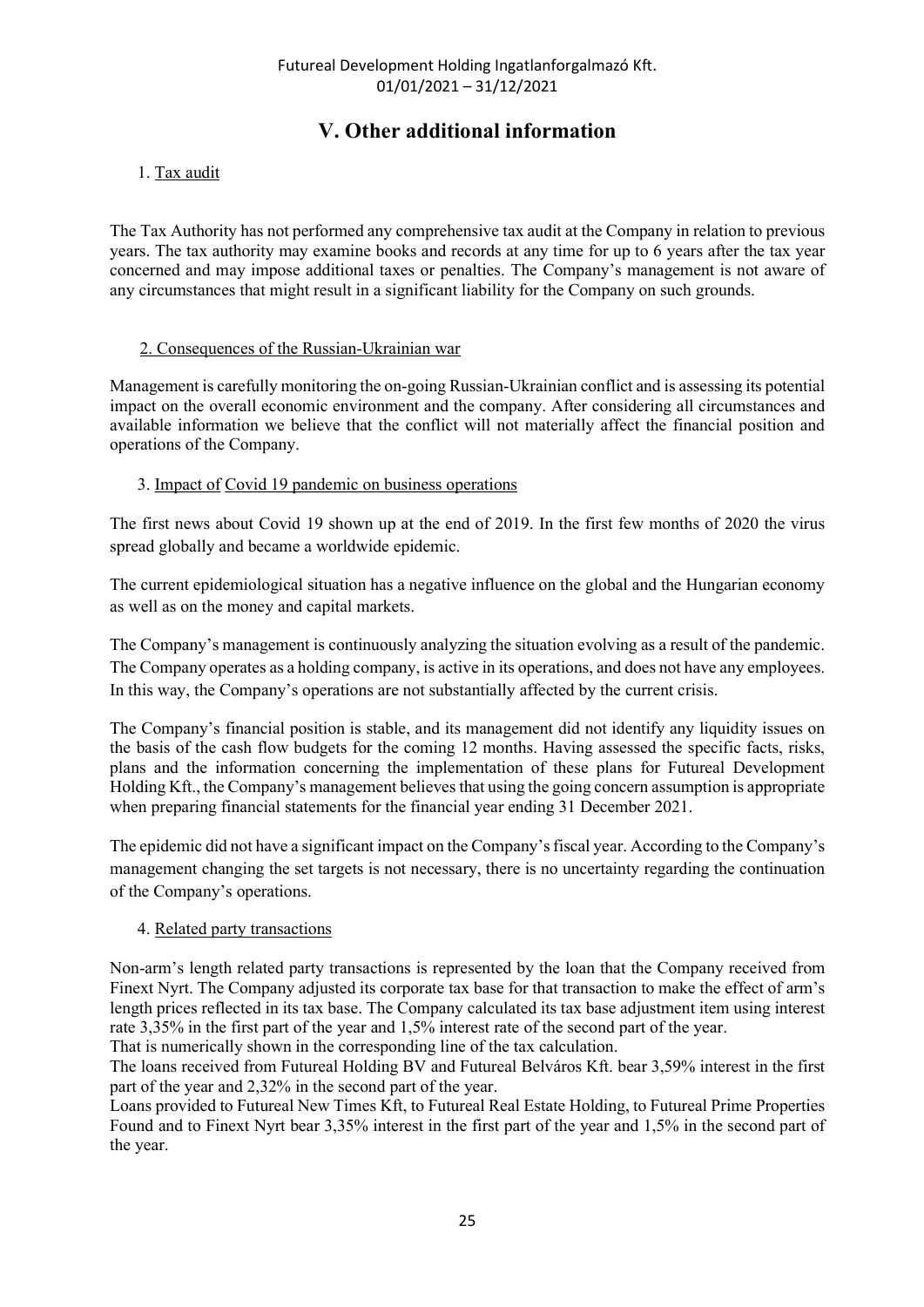# V. Other additional information

## 1. Tax audit

The Tax Authority has not performed any comprehensive tax audit at the Company in relation to previous years. The tax authority may examine books and records at any time for up to 6 years after the tax year concerned and may impose additional taxes or penalties. The Company's management is not aware of any circumstances that might result in a significant liability for the Company on such grounds.

#### 2. Consequences of the Russian-Ukrainian war

Management is carefully monitoring the on-going Russian-Ukrainian conflict and is assessing its potential impact on the overall economic environment and the company. After considering all circumstances and available information we believe that the conflict will not materially affect the financial position and operations of the Company.

## 3. Impact of Covid 19 pandemic on business operations

The first news about Covid 19 shown up at the end of 2019. In the first few months of 2020 the virus spread globally and became a worldwide epidemic.

The current epidemiological situation has a negative influence on the global and the Hungarian economy as well as on the money and capital markets.

The Company's management is continuously analyzing the situation evolving as a result of the pandemic. The Company operates as a holding company, is active in its operations, and does not have any employees. In this way, the Company's operations are not substantially affected by the current crisis.

The Company's financial position is stable, and its management did not identify any liquidity issues on the basis of the cash flow budgets for the coming 12 months. Having assessed the specific facts, risks, plans and the information concerning the implementation of these plans for Futureal Development Holding Kft., the Company's management believes that using the going concern assumption is appropriate when preparing financial statements for the financial year ending 31 December 2021.

The epidemic did not have a significant impact on the Company's fiscal year. According to the Company's management changing the set targets is not necessary, there is no uncertainty regarding the continuation of the Company's operations.

#### 4. Related party transactions

Non-arm's length related party transactions is represented by the loan that the Company received from Finext Nyrt. The Company adjusted its corporate tax base for that transaction to make the effect of arm's length prices reflected in its tax base. The Company calculated its tax base adjustment item using interest rate 3,35% in the first part of the year and 1,5% interest rate of the second part of the year.

That is numerically shown in the corresponding line of the tax calculation.

The loans received from Futureal Holding BV and Futureal Belváros Kft. bear 3,59% interest in the first part of the year and 2,32% in the second part of the year.

Loans provided to Futureal New Times Kft, to Futureal Real Estate Holding, to Futureal Prime Properties Found and to Finext Nyrt bear 3,35% interest in the first part of the year and 1,5% in the second part of the year.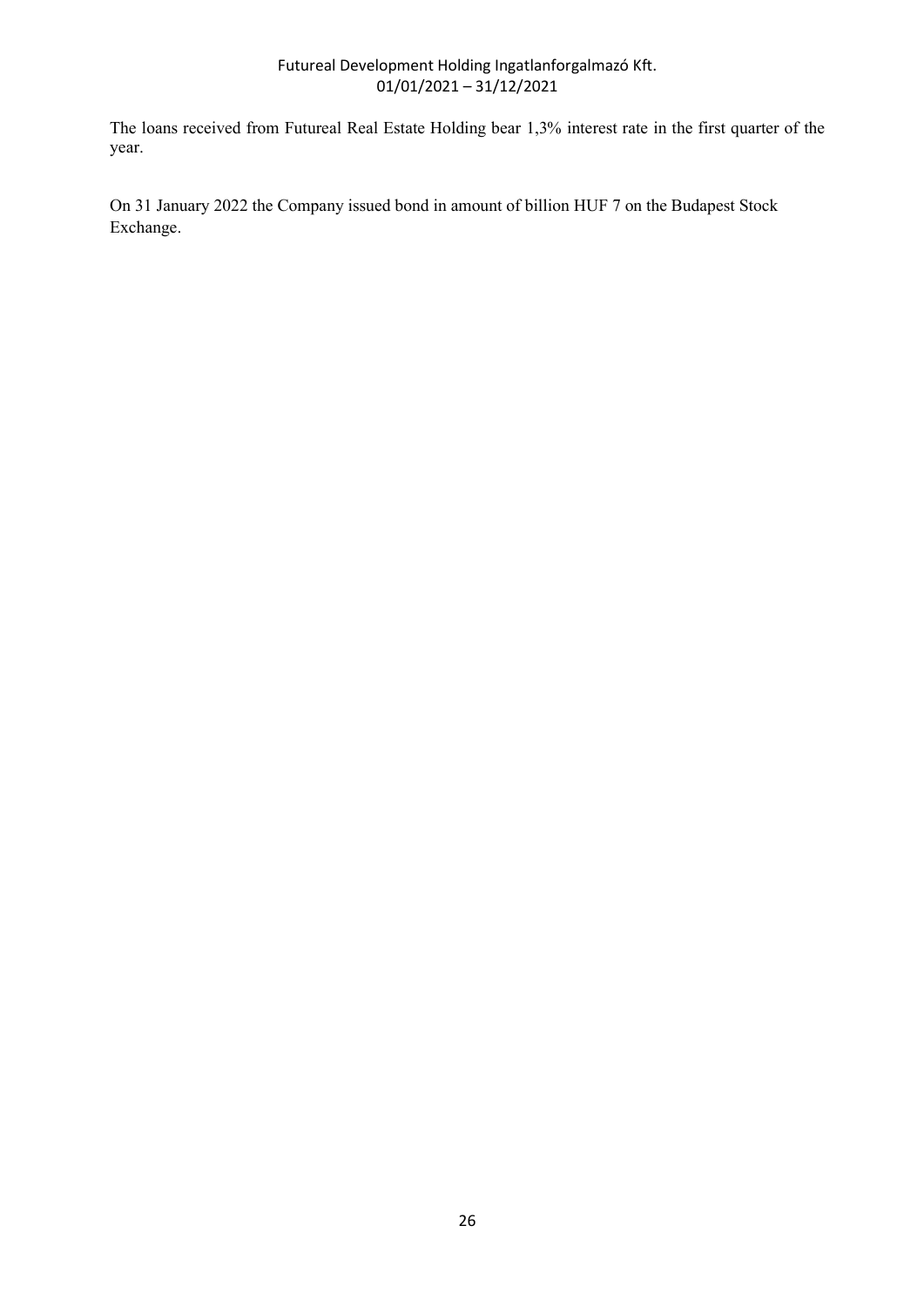The loans received from Futureal Real Estate Holding bear 1,3% interest rate in the first quarter of the year.

On 31 January 2022 the Company issued bond in amount of billion HUF 7 on the Budapest Stock Exchange.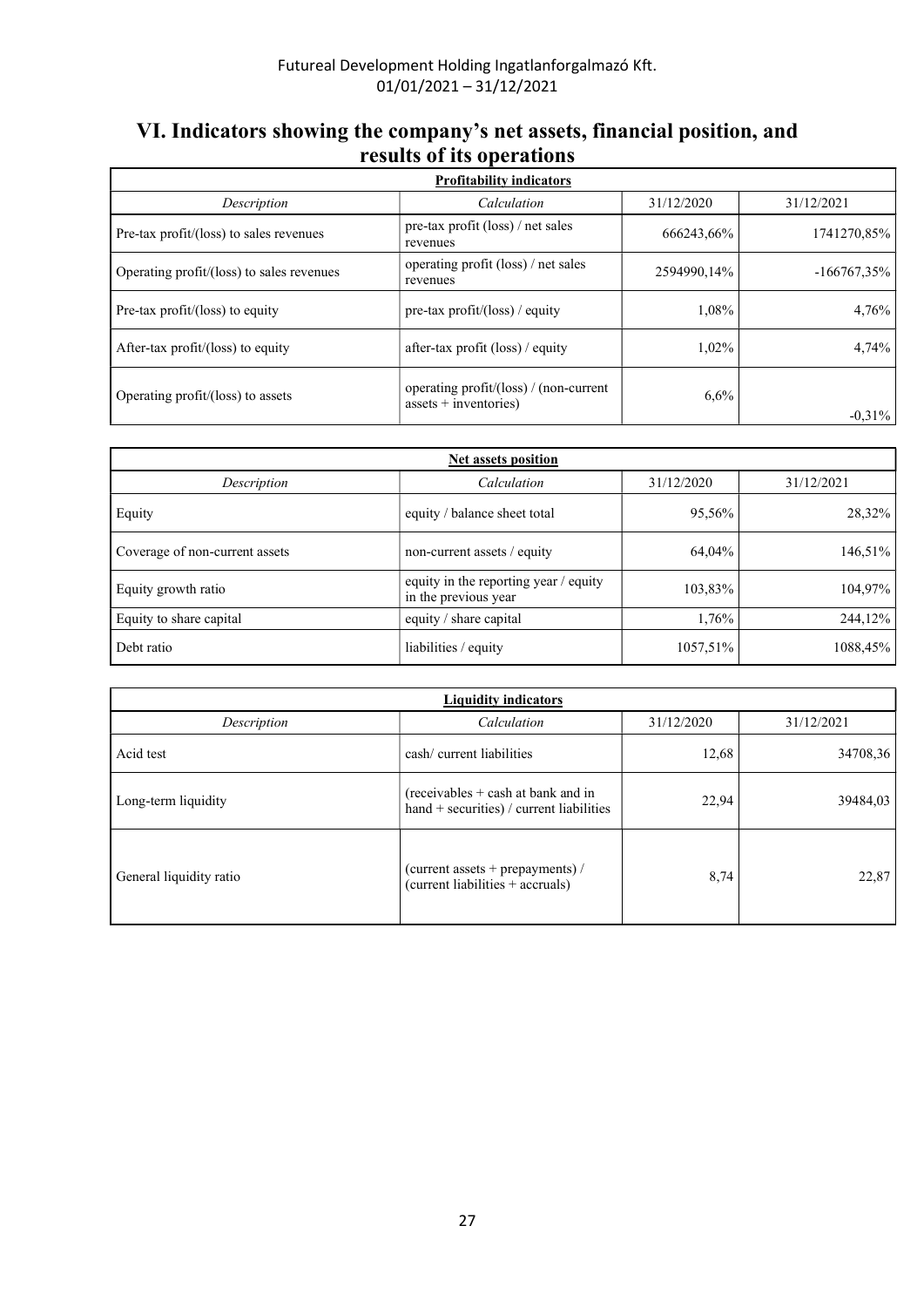# VI. Indicators showing the company's net assets, financial position, and results of its operations

| <b>Profitability indicators</b>           |                                                                   |             |                |  |  |  |  |  |  |
|-------------------------------------------|-------------------------------------------------------------------|-------------|----------------|--|--|--|--|--|--|
| Description                               | 31/12/2020                                                        | 31/12/2021  |                |  |  |  |  |  |  |
| Pre-tax profit/(loss) to sales revenues   | pre-tax profit $(\text{loss})$ / net sales<br>revenues            | 666243,66%  | 1741270,85%    |  |  |  |  |  |  |
| Operating profit/(loss) to sales revenues | operating profit (loss) / net sales<br>revenues                   | 2594990.14% | $-166767,35\%$ |  |  |  |  |  |  |
| Pre-tax profit/(loss) to equity           | pre-tax profit/(loss) / equity                                    | 1,08%       | 4.76%          |  |  |  |  |  |  |
| After-tax profit/(loss) to equity         | after-tax profit $(\text{loss})$ / equity                         | $1,02\%$    | 4.74%          |  |  |  |  |  |  |
| Operating profit/(loss) to assets         | operating profit/(loss) / (non-current<br>assets $+$ inventories) | 6,6%        | $-0.31\%$      |  |  |  |  |  |  |

| <b>Net assets position</b>     |                                                               |            |            |  |  |  |
|--------------------------------|---------------------------------------------------------------|------------|------------|--|--|--|
| Description                    | Calculation                                                   | 31/12/2020 | 31/12/2021 |  |  |  |
| Equity                         | equity / balance sheet total                                  | 95,56%     | 28,32%     |  |  |  |
| Coverage of non-current assets | non-current assets / equity                                   | 64,04%     | 146,51%    |  |  |  |
| Equity growth ratio            | equity in the reporting year / equity<br>in the previous year | 103,83%    | 104,97%    |  |  |  |
| Equity to share capital        | equity / share capital                                        | 1,76%      | 244,12%    |  |  |  |
| Debt ratio                     | liabilities / equity                                          | 1057,51%   | 1088,45%   |  |  |  |

| <b>Liquidity indicators</b> |                                                                                    |            |            |  |  |  |
|-----------------------------|------------------------------------------------------------------------------------|------------|------------|--|--|--|
| Description                 | Calculation                                                                        | 31/12/2020 | 31/12/2021 |  |  |  |
| Acid test                   | cash/ current liabilities                                                          | 12,68      | 34708,36   |  |  |  |
| Long-term liquidity         | $(receivables + cash at bank and in$<br>hand $+$ securities) / current liabilities | 22,94      | 39484,03   |  |  |  |
| General liquidity ratio     | (current assets + prepayments) /<br>(current liabilities + accruals)               | 8,74       | 22,87      |  |  |  |